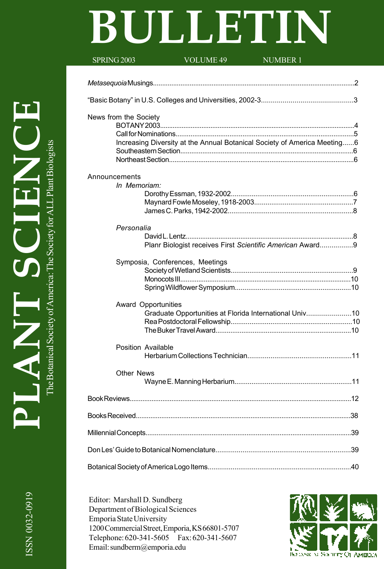# **BULLETIN**

| SPRING 2003           | <b>VOLUME 49</b>                                                         | <b>NUMBER 1</b>                                           |  |
|-----------------------|--------------------------------------------------------------------------|-----------------------------------------------------------|--|
|                       |                                                                          |                                                           |  |
|                       |                                                                          |                                                           |  |
| News from the Society | Increasing Diversity at the Annual Botanical Society of America Meeting6 |                                                           |  |
| Announcements         | In Memoriam:                                                             |                                                           |  |
|                       | Personalia                                                               | Planr Biologist receives First Scientific American Award9 |  |
|                       | Symposia, Conferences, Meetings                                          |                                                           |  |
|                       | Award Opportunities                                                      | Graduate Opportunities at Florida International Univ10    |  |
|                       | Position Available                                                       |                                                           |  |
|                       | <b>Other News</b>                                                        |                                                           |  |
|                       |                                                                          |                                                           |  |
|                       |                                                                          |                                                           |  |
|                       |                                                                          |                                                           |  |
|                       |                                                                          |                                                           |  |
|                       |                                                                          |                                                           |  |

Editor: Marshall D. Sundberg Department of Biological Sciences Emporia State University 1200 Commercial Street, Emporia, KS 66801-5707 Telephone: 620-341-5605 Fax: 620-341-5607 Email: sundberm@emporia.edu

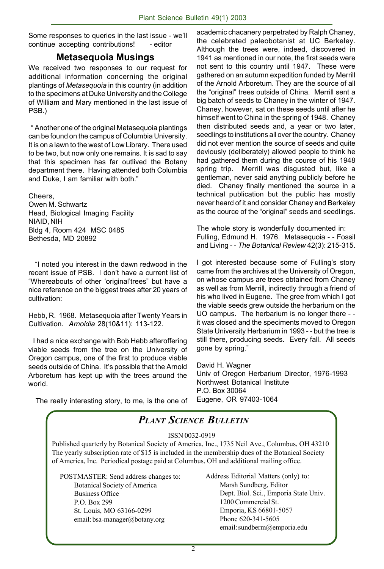Some responses to queries in the last issue - we'll continue accepting contributions! - editor

#### **Metasequoia Musings**

We received two responses to our request for additional information concerning the original plantings of *Metasequoia* in this country (in addition to the specimens at Duke University and the College of William and Mary mentioned in the last issue of PSB.)

 " Another one of the original Metasequoia plantings can be found on the campus of Columbia University. It is on a lawn to the west of Low Library. There used to be two, but now only one remains. It is sad to say that this specimen has far outlived the Botany department there. Having attended both Columbia and Duke, I am familiar with both."

Cheers,

Owen M. Schwartz Head, Biological Imaging Facility NIAID, NIH Bldg 4, Room 424 MSC 0485 Bethesda, MD 20892

 "I noted you interest in the dawn redwood in the recent issue of PSB. I don't have a current list of "Whereabouts of other 'original'trees" but have a nice reference on the biggest trees after 20 years of cultivation:

Hebb, R. 1968. Metasequoia after Twenty Years in Cultivation. *Arnoldia* 28(10&11): 113-122.

 I had a nice exchange with Bob Hebb afteroffering viable seeds from the tree on the University of Oregon campus, one of the first to produce viable seeds outside of China. It's possible that the Arnold Arboretum has kept up with the trees around the world.

came from the archives at the University of Oregon, on whose campus are trees obtained from Chaney as well as from Merrill, indirectly through a friend of his who lived in Eugene. The gree from which I got the viable seeds grew outside the herbarium on the

UO campus. The herbarium is no longer there - it was closed and the speciments moved to Oregon State University Herbarium in 1993 - - but the tree is still there, producing seeds. Every fall. All seeds gone by spring."

David H. Wagner Univ of Oregon Herbarium Director, 1976-1993 Northwest Botanical Institute P.O. Box 30064 Eugene, OR 97403-1064

The really interesting story, to me, is the one of



the celebrated paleobotanist at UC Berkeley. Although the trees were, indeed, discovered in 1941 as mentioned in our note, the first seeds were not sent to this country until 1947. These were gathered on an autumn expedition funded by Merrill of the Arnold Arboretum. They are the source of all the "original" trees outside of China. Merrill sent a big batch of seeds to Chaney in the winter of 1947. Chaney, however, sat on these seeds until after he himself went to China in the spring of 1948. Chaney then distributed seeds and, a year or two later, seedlings to institutions all over the country. Chaney did not ever mention the source of seeds and quite deviously (deliberately) allowed people to think he had gathered them during the course of his 1948 spring trip. Merrill was disgusted but, like a gentleman, never said anything publicly before he died. Chaney finally mentioned the source in a technical publication but the public has mostly never heard of it and consider Chaney and Berkeley as the cource of the "original" seeds and seedlings.

academic chacanery perpetrated by Ralph Chaney,

The whole story is wonderfully documented in: Fulling, Edmund H. 1976. Metasequoia - - Fossil and Living - - *The Botanical Review* 42(3): 215-315.

I got interested because some of Fulling's story

*PLANT SCIENCE BULLETIN*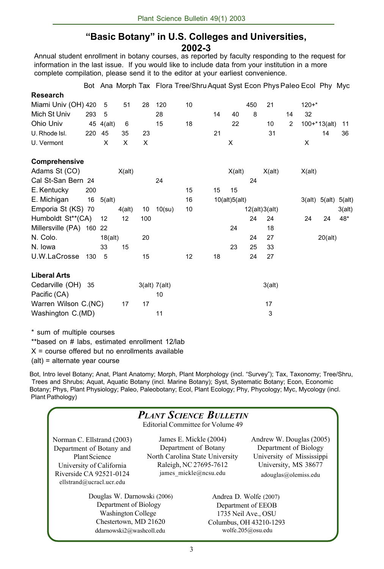# **"Basic Botany" in U.S. Colleges and Universities,**

**2002-3**

Annual student enrollment in botany courses, as reported by faculty responding to the request for information in the last issue. If you would like to include data from your institution in a more complete compilation, please send it to the editor at your earliest convenience.

|                                    |     |                   |           |     |                     | Bot Ana Morph Tax Flora Tree/Shru Aquat Syst Econ Phys Paleo Ecol Phy Myc |    |               |               |        |                |           |                      |        |
|------------------------------------|-----|-------------------|-----------|-----|---------------------|---------------------------------------------------------------------------|----|---------------|---------------|--------|----------------|-----------|----------------------|--------|
| <b>Research</b>                    |     |                   |           |     |                     |                                                                           |    |               |               |        |                |           |                      |        |
| Miami Univ (OH) 420                |     | 5                 | 51        | 28  | 120                 | 10                                                                        |    |               | 450           | 21     |                | $120 + *$ |                      |        |
| Mich St Univ                       | 293 | 5                 |           |     | 28                  |                                                                           | 14 | 40            | 8             |        | 14             | 32        |                      |        |
| Ohio Univ                          |     | 45 4(alt)         | 6         |     | 15                  | 18                                                                        |    | 22            |               | 10     | $\overline{2}$ |           | $100+*13(alt)$       | 11     |
| U. Rhode Isl.                      | 220 | 45                | 35        | 23  |                     |                                                                           | 21 |               |               | 31     |                |           | 14                   | 36     |
| U. Vermont                         |     | X                 | X         | X   |                     |                                                                           |    | X             |               |        |                | X         |                      |        |
| Comprehensive                      |     |                   |           |     |                     |                                                                           |    |               |               |        |                |           |                      |        |
| Adams St (CO)                      |     |                   | X(alt)    |     |                     |                                                                           |    | X(alt)        |               | X(alt) |                | X(alt)    |                      |        |
| Cal St-San Bern 24                 |     |                   |           |     | 24                  |                                                                           |    |               | 24            |        |                |           |                      |        |
| E. Kentucky                        | 200 |                   |           |     |                     | 15                                                                        | 15 | 15            |               |        |                |           |                      |        |
| E. Michigan                        |     | $16 \quad 5(alt)$ |           |     |                     | 16                                                                        |    | 10(alt)5(alt) |               |        |                |           | 3(alt) 5(alt) 5(alt) |        |
| Emporia St (KS) 70                 |     |                   | $4$ (alt) | 10  | $10$ (su)           | 10                                                                        |    |               | 12(alt)3(alt) |        |                |           |                      | 3(alt) |
| Humboldt St <sup>**</sup> (CA)     |     | 12                | 12        | 100 |                     |                                                                           |    |               | 24            | 24     |                | 24        | 24                   | 48*    |
| Millersville (PA) 160 22           |     |                   |           |     |                     |                                                                           |    | 24            |               | 18     |                |           |                      |        |
| N. Colo.                           |     | 18(alt)           |           | 20  |                     |                                                                           |    |               | 24            | 27     |                |           | 20(alt)              |        |
| N. Iowa                            |     | 33                | 15        |     |                     |                                                                           |    | 23            | 25            | 33     |                |           |                      |        |
| U.W.LaCrosse                       | 130 | 5                 |           | 15  |                     | 12                                                                        | 18 |               | 24            | 27     |                |           |                      |        |
| <b>Liberal Arts</b>                |     |                   |           |     |                     |                                                                           |    |               |               |        |                |           |                      |        |
| Cedarville (OH) 35<br>Pacific (CA) |     |                   |           |     | 3(alt) 7(alt)<br>10 |                                                                           |    |               |               | 3(alt) |                |           |                      |        |
| Warren Wilson C.(NC)               |     |                   | 17        | 17  |                     |                                                                           |    |               |               | 17     |                |           |                      |        |
| Washington C.(MD)                  |     |                   |           |     | 11                  |                                                                           |    |               |               | 3      |                |           |                      |        |

\* sum of multiple courses

\*\*based on # labs, estimated enrollment 12/lab

 $X = \text{course}$  offered but no enrollments available

(alt) = alternate year course

Bot, Intro level Botany; Anat, Plant Anatomy; Morph, Plant Morphology (incl. "Survey"); Tax, Taxonomy; Tree/Shru, Trees and Shrubs; Aquat, Aquatic Botany (incl. Marine Botany); Syst, Systematic Botany; Econ, Economic Botany; Phys, Plant Physiology; Paleo, Paleobotany; Ecol, Plant Ecology; Phy, Phycology; Myc, Mycology (incl. Plant Pathology)

| <b>PLANT SCIENCE BULLETIN</b> |  |
|-------------------------------|--|
|-------------------------------|--|

Editorial Committee for Volume 49

Norman C. Ellstrand (2003) Department of Botany and Plant Science University of California Riverside CA 92521-0124 ellstrand@ucracl.ucr.edu

James E. Mickle (2004) Department of Botany North Carolina State University Raleigh, NC 27695-7612 james mickle@ncsu.edu

 Douglas W. Darnowski (2006) Department of Biology Washington College Chestertown, MD 21620 ddarnowski2@washcoll.edu

Andrew W. Douglas (2005) Department of Biology University of Mississippi University, MS 38677 adouglas@olemiss.edu

Andrea D. Wolfe (2007) Department of EEOB 1735 Neil Ave., OSU Columbus, OH 43210-1293 wolfe.205@osu.edu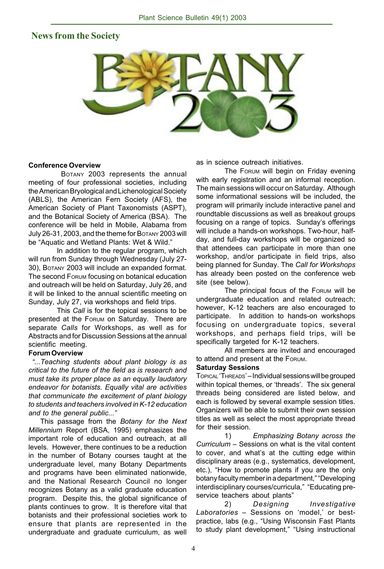#### **News from the Society**



#### **Conference Overview**

 BOTANY 2003 represents the annual meeting of four professional societies, including the American Bryological and Lichenological Society (ABLS), the American Fern Society (AFS), the American Society of Plant Taxonomists (ASPT), and the Botanical Society of America (BSA). The conference will be held in Mobile, Alabama from July 26-31, 2003, and the theme for BOTANY 2003 will be "Aquatic and Wetland Plants: Wet & Wild."

In addition to the regular program, which will run from Sunday through Wednesday (July 27- 30), BOTANY 2003 will include an expanded format. The second FORUM focusing on botanical education and outreach will be held on Saturday, July 26, and it will be linked to the annual scientific meeting on Sunday, July 27, via workshops and field trips.

This *Call* is for the topical sessions to be presented at the FORUM on Saturday. There are separate *Calls* for Workshops, as well as for Abstracts and for Discussion Sessions at the annual scientific meeting.

#### **Forum Overview**

 *"...Teaching students about plant biology is as critical to the future of the field as is research and must take its proper place as an equally laudatory endeavor for botanists. Equally vital are activities that communicate the excitement of plant biology to students and teachers involved in K-12 education and to the general public..."*

 This passage from the *Botany for the Next Millennium* Report (BSA, 1995) emphasizes the important role of education and outreach, at all levels. However, there continues to be a reduction in the number of Botany courses taught at the undergraduate level, many Botany Departments and programs have been eliminated nationwide, and the National Research Council no longer recognizes Botany as a valid graduate education program. Despite this, the global significance of plants continues to grow. It is therefore vital that botanists and their professional societies work to ensure that plants are represented in the undergraduate and graduate curriculum, as well

as in science outreach initiatives.

The FORUM will begin on Friday evening with early registration and an informal reception. The main sessions will occur on Saturday. Although some informational sessions will be included, the program will primarily include interactive panel and roundtable discussions as well as breakout groups focusing on a range of topics. Sunday's offerings will include a hands-on workshops. Two-hour, halfday, and full-day workshops will be organized so that attendees can participate in more than one workshop, and/or participate in field trips, also being planned for Sunday. The *Call for Workshops* has already been posted on the conference web site (see below).

The principal focus of the FORUM will be undergraduate education and related outreach; however, K-12 teachers are also encouraged to participate. In addition to hands-on workshops focusing on undergraduate topics, several workshops, and perhaps field trips, will be specifically targeted for K-12 teachers.

All members are invited and encouraged to attend and present at the FORUM.

#### **Saturday Sessions**

TOPICAL 'THREADS' *–* Individual sessions will be grouped within topical themes, or 'threads'. The six general threads being considered are listed below, and each is followed by several example session titles. Organizers will be able to submit their own session titles as well as select the most appropriate thread for their session.

1) *Emphasizing Botany across the Curriculum* – Sessions on what is the vital content to cover, and what's at the cutting edge within disciplinary areas (e.g., systematics, development, etc.), "How to promote plants if you are the only botany faculty member in a department," "Developing interdisciplinary courses/curricula," "Educating preservice teachers about plants"

2) *Designing Investigative Laboratories* – Sessions on 'model,' or bestpractice, labs (e.g., "Using Wisconsin Fast Plants to study plant development," "Using instructional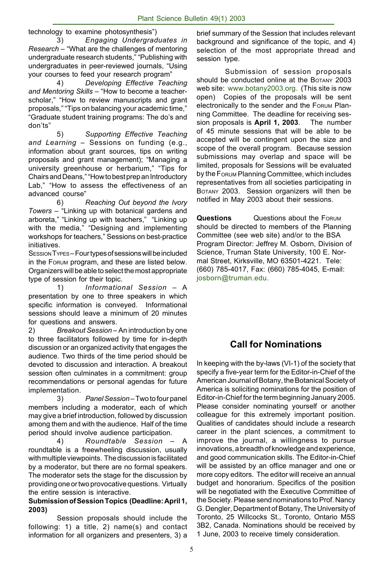technology to examine photosynthesis")

3) *Engaging Undergraduates in Research* – "What are the challenges of mentoring undergraduate research students," "Publishing with undergraduates in peer-reviewed journals, "Using your courses to feed your research program"

4) *Developing Effective Teaching and Mentoring Skills* – "How to become a teacherscholar," "How to review manuscripts and grant proposals," "Tips on balancing your academic time," "Graduate student training programs: The do's and don'ts"

5) *Supporting Effective Teaching and Learning* – Sessions on funding (e.g., information about grant sources, tips on writing proposals and grant management); "Managing a university greenhouse or herbarium," "Tips for Chairs and Deans," "How to best prep an Introductory Lab," "How to assess the effectiveness of an advanced course"

6) *Reaching Out beyond the Ivory Towers* – "Linking up with botanical gardens and arboreta," "Linking up with teachers," "Linking up with the media," "Designing and implementing workshops for teachers," Sessions on best-practice initiatives.

SESSION TYPES*–* Four types of sessions will be included in the FORUM program, and these are listed below. Organizers will be able to select the most appropriate type of session for their topic.

1) *Informational Session* – A presentation by one to three speakers in which specific information is conveyed. Informational sessions should leave a minimum of 20 minutes for questions and answers.

2) *Breakout Session* – An introduction by one to three facilitators followed by time for in-depth discussion or an organized activity that engages the audience. Two thirds of the time period should be devoted to discussion and interaction. A breakout session often culminates in a commitment: group recommendations or personal agendas for future implementation.

3) *Panel Session* – Two to four panel members including a moderator, each of which may give a brief introduction, followed by discussion among them and with the audience. Half of the time period should involve audience participation.

4) *Roundtable Session* – A roundtable is a freewheeling discussion, usually with multiple viewpoints. The discussion is facilitated by a moderator, but there are no formal speakers. The moderator sets the stage for the discussion by providing one or two provocative questions. Virtually the entire session is interactive.

#### **Submission of Session Topics (Deadline: April 1, 2003)**

Session proposals should include the following: 1) a title, 2) name(s) and contact information for all organizers and presenters, 3) a brief summary of the Session that includes relevant background and significance of the topic, and 4) selection of the most appropriate thread and session type.

Submission of session proposals should be conducted online at the BOTANY 2003 web site: www.botany2003.org. (This site is now open) Copies of the proposals will be sent electronically to the sender and the FORUM Planning Committee. The deadline for receiving session proposals is **April 1, 2003**. The number of 45 minute sessions that will be able to be accepted will be contingent upon the size and scope of the overall program. Because session submissions may overlap and space will be limited, proposals for Sessions will be evaluated by the FORUM Planning Committee, which includes representatives from all societies participating in BOTANY 2003. Session organizers will then be notified in May 2003 about their sessions.

**Questions** Questions about the FORUM should be directed to members of the Planning Committee (see web site) and/or to the BSA Program Director: Jeffrey M. Osborn, Division of Science, Truman State University, 100 E. Normal Street, Kirksville, MO 63501-4221. Tele: (660) 785-4017, Fax: (660) 785-4045, E-mail: josborn@truman.edu.

# **Call for Nominations**

In keeping with the by-laws (VI-1) of the society that specify a five-year term for the Editor-in-Chief of the American Journal of Botany, the Botanical Society of America is soliciting nominations for the position of Editor-in-Chief for the term beginning January 2005. Please consider nominating yourself or another colleague for this extremely important position. Qualities of candidates should include a research career in the plant sciences, a commitment to improve the journal, a willingness to pursue innovations, a breadth of knowledge and experience, and good communication skills. The Editor-in-Chief will be assisted by an office manager and one or more copy editors. The editor will receive an annual budget and honorarium. Specifics of the position will be negotiated with the Executive Committee of the Society. Please send nominations to Prof. Nancy G. Dengler, Department of Botany, The University of Toronto, 25 Willcocks St., Toronto, Ontario M5S 3B2, Canada. Nominations should be received by 1 June, 2003 to receive timely consideration.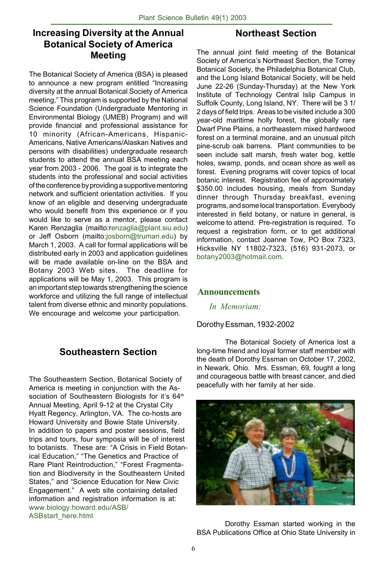# **Increasing Diversity at the Annual Botanical Society of America Meeting**

The Botanical Society of America (BSA) is pleased to announce a new program entitled "Increasing diversity at the annual Botanical Society of America meeting," This program is supported by the National Science Foundation (Undergraduate Mentoring in Environmental Biology (UMEB) Program) and will provide financial and professional assistance for 10 minority (African-Americans, Hispanic-Americans, Native Americans/Alaskan Natives and persons with disabilities) undergraduate research students to attend the annual BSA meeting each year from 2003 - 2006. The goal is to integrate the students into the professional and social activities of the conference by providing a supportive mentoring network and sufficient orientation activities. If you know of an eligible and deserving undergraduate who would benefit from this experience or if you would like to serve as a mentor, please contact Karen Renzaglia (mailto:renzaglia@plant.siu.edu) or Jeff Osborn (mailto:josborn@truman.edu) by March 1, 2003. A call for formal applications will be distributed early in 2003 and application guidelines will be made available on-line on the BSA and Botany 2003 Web sites. The deadline for applications will be May 1, 2003. This program is an important step towards strengthening the science workforce and utilizing the full range of intellectual talent from diverse ethnic and minority populations. We encourage and welcome your participation.

# **Southeastern Section**

The Southeastern Section, Botanical Society of America is meeting in conjunction with the Association of Southeastern Biologists for it's 64<sup>th</sup> Annual Meeting, April 9-12 at the Crystal City Hyatt Regency, Arlington, VA. The co-hosts are Howard University and Bowie State University. In addition to papers and poster sessions, field trips and tours, four symposia will be of interest to botanists. These are: "A Crisis in Field Botanical Education," "The Genetics and Practice of Rare Plant Reintroduction," "Forest Fragmentation and Biodiversity in the Southeastern United States," and "Science Education for New Civic Engagement." A web site containing detailed information and registration information is at: www.biology.howard.edu/ASB/ ASBstart\_here.html

#### **Northeast Section**

The annual joint field meeting of the Botanical Society of America's Northeast Section, the Torrey Botanical Society, the Philadelphia Botanical Club, and the Long Island Botanical Society, will be held June 22-26 (Sunday-Thursday) at the New York Institute of Technology Central Islip Campus in Suffolk County, Long Island, NY. There will be 3 1/ 2 days of field trips. Areas to be visited include a 300 year-old maritime holly forest, the globally rare Dwarf Pine Plains, a northeastern mixed hardwood forest on a terminal moraine, and an unusual pitch pine-scrub oak barrens. Plant communities to be seen include salt marsh, fresh water bog, kettle holes, swamp, ponds, and ocean shore as well as forest. Evening programs will cover topics of local botanic interest. Registration fee of approximately \$350.00 includes housing, meals from Sunday dinner through Thursday breakfast, evening programs, and some local transportation. Everybody interested in field botany, or nature in general, is welcome to attend. Pre-registration is required. To request a registration form, or to get additional information, contact Joanne Tow, PO Box 7323, Hicksville NY 11802-7323, (516) 931-2073, or botany2003@hotmail.com.

#### **Announcements**

*In Memoriam:*

#### Dorothy Essman, 1932-2002

The Botanical Society of America lost a long-time friend and loyal former staff member with the death of Dorothy Essman on October 17, 2002, in Newark, Ohio. Mrs. Essman, 69, fought a long and courageous battle with breast cancer, and died peacefully with her family at her side.



Dorothy Essman started working in the BSA Publications Office at Ohio State University in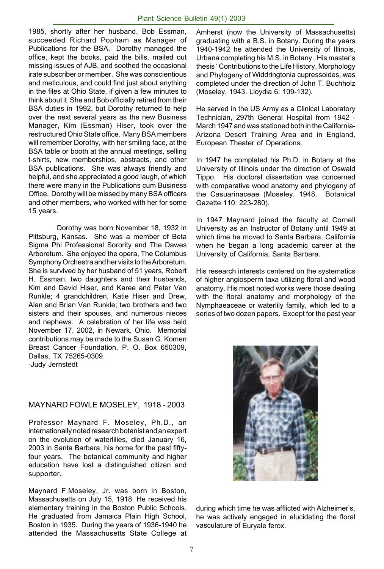1985, shortly after her husband, Bob Essman, succeeded Richard Popham as Manager of Publications for the BSA. Dorothy managed the office, kept the books, paid the bills, mailed out missing issues of AJB, and soothed the occasional irate subscriber or member. She was conscientious and meticulous, and could find just about anything in the files at Ohio State, if given a few minutes to think about it. She and Bob officially retired from their BSA duties in 1992, but Dorothy returned to help over the next several years as the new Business Manager, Kim (Essman) Hiser, took over the restructured Ohio State office. Many BSA members will remember Dorothy, with her smiling face, at the BSA table or booth at the annual meetings, selling t-shirts, new memberships, abstracts, and other BSA publications. She was always friendly and helpful, and she appreciated a good laugh, of which there were many in the Publications cum Business Office. Dorothy will be missed by many BSA officers and other members, who worked with her for some 15 years.

Dorothy was born November 18, 1932 in Pittsburg, Kansas. She was a member of Beta Sigma Phi Professional Sorority and The Dawes Arboretum. She enjoyed the opera, The Columbus Symphony Orchestra and her visits to the Arboretum. She is survived by her husband of 51 years, Robert H. Essman; two daughters and their husbands, Kim and David Hiser, and Karee and Peter Van Runkle; 4 grandchildren, Katie Hiser and Drew, Alan and Brian Van Runkle; two brothers and two sisters and their spouses, and numerous nieces and nephews. A celebration of her life was held November 17, 2002, in Newark, Ohio. Memorial contributions may be made to the Susan G. Komen Breast Cancer Foundation, P. O. Box 650309, Dallas, TX 75265-0309. -Judy Jernstedt

#### MAYNARD FOWLE MOSELEY, 1918 - 2003

Professor Maynard F. Moseley, Ph.D., an internationally noted research botanist and an expert on the evolution of waterlilies, died January 16, 2003 in Santa Barbara, his home for the past fiftyfour years. The botanical community and higher education have lost a distinguished citizen and supporter.

Maynard F.Moseley, Jr. was born in Boston, Massachusetts on July 15, 1918. He received his elementary training in the Boston Public Schools. He graduated from Jamaica Plain High School, Boston in 1935. During the years of 1936-1940 he attended the Massachusetts State College at

Amherst (now the University of Massachusetts) graduating with a B.S. in Botany. During the years 1940-1942 he attended the University of Illinois, Urbana completing his M.S. in Botany. His master's thesis ' Contributions to the Life History, Morphology and Phylogeny of Widdringtonia cupressoides, was completed under the direction of John T. Buchholz (Moseley, 1943. Lloydia 6: 109-132).

He served in the US Army as a Clinical Laboratory Technician, 297th General Hospital from 1942 - March 1947 and was stationed both in the California-Arizona Desert Training Area and in England, European Theater of Operations.

In 1947 he completed his Ph.D. in Botany at the University of Illinois under the direction of Oswald Tippo. His doctoral dissertation was concerned with comparative wood anatomy and phylogeny of the Casuarinaceae (Moseley, 1948. Botanical Gazette 110: 223-280).

In 1947 Maynard joined the faculty at Cornell University as an Instructor of Botany until 1949 at which time he moved to Santa Barbara, California when he began a long academic career at the University of California, Santa Barbara.

His research interests centered on the systematics of higher angiosperm taxa utilizing floral and wood anatomy. His most noted works were those dealing with the floral anatomy and morphology of the Nymphaeaceae or waterlily family, which led to a series of two dozen papers. Except for the past year



during which time he was afflicted with Alzheimer's, he was actively engaged in elucidating the floral vasculature of Euryale ferox.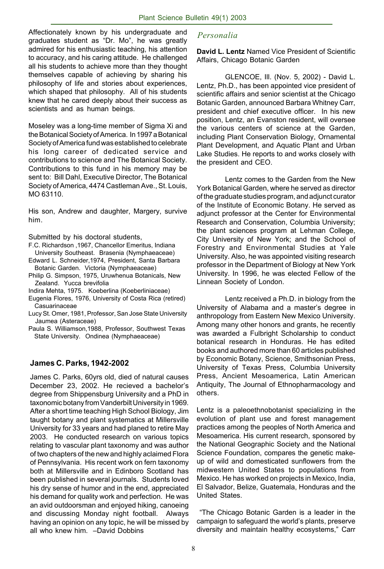Affectionately known by his undergraduate and *Personalia* graduates student as "Dr. Mo", he was greatly admired for his enthusiastic teaching, his attention to accuracy, and his caring attitude. He challenged all his students to achieve more than they thought themselves capable of achieving by sharing his philosophy of life and stories about experiences, which shaped that philosophy. All of his students knew that he cared deeply about their success as scientists and as human beings.

Moseley was a long-time member of Sigma Xi and the Botanical Society of America. In 1997 a Botanical Society of America fund was established to celebrate his long career of dedicated service and contributions to science and The Botanical Society. Contributions to this fund in his memory may be sent to: Bill Dahl, Executive Director, The Botanical Society of America, 4474 Castleman Ave., St. Louis, MO 63110.

His son, Andrew and daughter, Margery, survive him.

Submitted by his doctoral students,

- F.C. Richardson ,1967, Chancellor Emeritus, Indiana University Southeast. Brasenia (Nymphaeaceae)
- Edward L. Schneider,1974, President, Santa Barbara Botanic Garden. Victoria (Nymphaeaceae)
- Philip G. Simpson, 1975, Uruwhenua Botanicals, New Zealand. Yucca brevifolia
- Indira Mehta, 1975. Koeberlina (Koeberliniaceae)
- Eugenia Flores, 1976, University of Costa Rica (retired) Casuarinaceae
- Lucy St. Omer, 1981, Professor, San Jose State University Jaumea (Asteraceae)
- Paula S. Williamson,1988, Professor, Southwest Texas State University. Ondinea (Nymphaeaceae)

#### **James C. Parks, 1942-2002**

James C. Parks, 60yrs old, died of natural causes December 23, 2002. He recieved a bachelor's degree from Shippensburg University and a PhD in taxonomic botany from Vanderbilt University in 1969. After a short time teaching High School Biology, Jim taught botany and plant systematics at Millersville University for 33 years and had planed to retire May 2003. He conducted research on various topics relating to vascular plant taxonomy and was author of two chapters of the new and highly aclaimed Flora of Pennsylvania. His recent work on fern taxonomy both at Millersville and in Edinboro Scotland has been published in several journals. Students loved his dry sense of humor and in the end, appreciated his demand for quality work and perfection. He was an avid outdoorsman and enjoyed hiking, canoeing and discussing Monday night football. Always having an opinion on any topic, he will be missed by all who knew him. –David Dobbins

**David L. Lentz** Named Vice President of Scientific Affairs, Chicago Botanic Garden

GLENCOE, Ill. (Nov. 5, 2002) - David L. Lentz, Ph.D., has been appointed vice president of scientific affairs and senior scientist at the Chicago Botanic Garden, announced Barbara Whitney Carr, president and chief executive officer. In his new position, Lentz, an Evanston resident, will oversee the various centers of science at the Garden, including Plant Conservation Biology, Ornamental Plant Development, and Aquatic Plant and Urban Lake Studies. He reports to and works closely with the president and CEO.

Lentz comes to the Garden from the New York Botanical Garden, where he served as director of the graduate studies program, and adjunct curator of the Institute of Economic Botany. He served as adjunct professor at the Center for Environmental Research and Conservation, Columbia University; the plant sciences program at Lehman College, City University of New York; and the School of Forestry and Environmental Studies at Yale University. Also, he was appointed visiting research professor in the Department of Biology at New York University. In 1996, he was elected Fellow of the Linnean Society of London.

Lentz received a Ph.D. in biology from the University of Alabama and a master's degree in anthropology from Eastern New Mexico University. Among many other honors and grants, he recently was awarded a Fulbright Scholarship to conduct botanical research in Honduras. He has edited books and authored more than 60 articles published by Economic Botany, Science, Smithsonian Press, University of Texas Press, Columbia University Press, Ancient Mesoamerica, Latin American Antiquity, The Journal of Ethnopharmacology and others.

Lentz is a paleoethnobotanist specializing in the evolution of plant use and forest management practices among the peoples of North America and Mesoamerica. His current research, sponsored by the National Geographic Society and the National Science Foundation, compares the genetic makeup of wild and domesticated sunflowers from the midwestern United States to populations from Mexico. He has worked on projects in Mexico, India, El Salvador, Belize, Guatemala, Honduras and the United States.

 "The Chicago Botanic Garden is a leader in the campaign to safeguard the world's plants, preserve diversity and maintain healthy ecosystems," Carr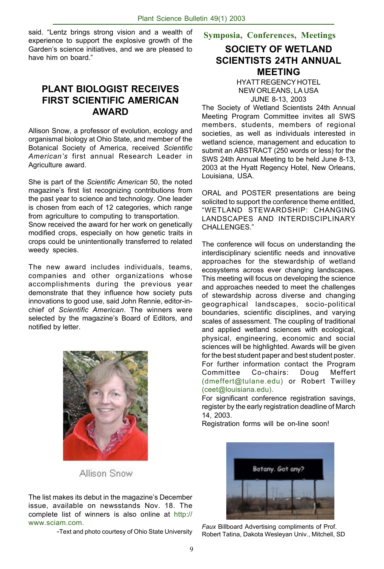said. "Lentz brings strong vision and a wealth of **Symposia, Conferences, Meetings** experience to support the explosive growth of the Garden's science initiatives, and we are pleased to have him on board."

#### **PLANT BIOLOGIST RECEIVES FIRST SCIENTIFIC AMERICAN AWARD**

Allison Snow, a professor of evolution, ecology and organismal biology at Ohio State, and member of the Botanical Society of America, received *Scientific American's* first annual Research Leader in Agriculture award.

She is part of the *Scientific American* 50, the noted magazine's first list recognizing contributions from the past year to science and technology. One leader is chosen from each of 12 categories, which range from agriculture to computing to transportation. Snow received the award for her work on genetically modified crops, especially on how genetic traits in crops could be unintentionally transferred to related weedy species.

The new award includes individuals, teams, companies and other organizations whose accomplishments during the previous year demonstrate that they influence how society puts innovations to good use, said John Rennie, editor-inchief of *Scientific American*. The winners were selected by the magazine's Board of Editors, and notified by letter.



Allison Snow

The list makes its debut in the magazine's December issue, available on newsstands Nov. 18. The complete list of winners is also online at http:// www.sciam.com.

-Text and photo courtesy of Ohio State University

# **SOCIETY OF WETLAND SCIENTISTS 24TH ANNUAL MEETING**

HYATT REGENCY HOTEL NEW ORLEANS, LA USA JUNE 8-13, 2003

The Society of Wetland Scientists 24th Annual Meeting Program Committee invites all SWS members, students, members of regional societies, as well as individuals interested in wetland science, management and education to submit an ABSTRACT (250 words or less) for the SWS 24th Annual Meeting to be held June 8-13, 2003 at the Hyatt Regency Hotel, New Orleans, Louisiana, USA.

ORAL and POSTER presentations are being solicited to support the conference theme entitled, "WETLAND STEWARDSHIP: CHANGING LANDSCAPES AND INTERDISCIPLINARY CHALLENGES."

The conference will focus on understanding the interdisciplinary scientific needs and innovative approaches for the stewardship of wetland ecosystems across ever changing landscapes. This meeting will focus on developing the science and approaches needed to meet the challenges of stewardship across diverse and changing geographical landscapes, socio-political boundaries, scientific disciplines, and varying scales of assessment. The coupling of traditional and applied wetland sciences with ecological, physical, engineering, economic and social sciences will be highlighted. Awards will be given for the best student paper and best student poster. For further information contact the Program Committee Co-chairs: Doug Meffert (dmeffert@tulane.edu) or Robert Twilley (ceet@louisiana.edu).

For significant conference registration savings, register by the early registration deadline of March 14, 2003.

Registration forms will be on-line soon!



*Faux* Billboard Advertising compliments of Prof. Robert Tatina, Dakota Wesleyan Univ., Mitchell, SD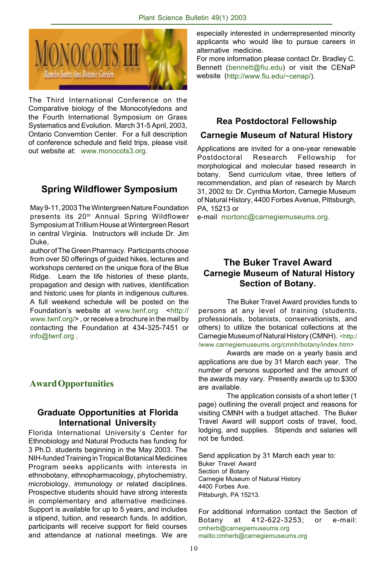

The Third International Conference on the Comparative biology of the Monocotyledons and the Fourth International Symposium on Grass Systematics and Evolution. March 31-5 April, 2003, Ontario Converntion Center. For a full description of conference schedule and field trips, please visit out website at: www.monocots3.org.

# **Spring Wildflower Symposium**

May 9-11, 2003 The Wintergreen Nature Foundation presents its 20<sup>th</sup> Annual Spring Wildflower Symposium at Trillium House at Wintergreen Resort in central Virginia. Instructors will include Dr. Jim Duke,

author of The Green Pharmacy. Participants choose from over 50 offerings of guided hikes, lectures and workshops centered on the unique flora of the Blue Ridge. Learn the life histories of these plants, propagation and design with natives, identification and historic uses for plants in indigenous cultures. A full weekend schedule will be posted on the Foundation's website at www.twnf.org <http:// www.twnf.org/> , or receive a brochure in the mail by contacting the Foundation at 434-325-7451 or info@twnf.org .

#### **Award Opportunities**

#### **Graduate Opportunities at Florida International University**

Florida International University's Center for Ethnobiology and Natural Products has funding for 3 Ph.D. students beginning in the May 2003. The NIH-funded Training in Tropical Botanical Medicines Program seeks applicants with interests in ethnobotany, ethnopharmacology, phytochemistry, microbiology, immunology or related disciplines. Prospective students should have strong interests in complementary and alternative medicines. Support is available for up to 5 years, and includes a stipend, tuition, and research funds. In addition, participants will receive support for field courses and attendance at national meetings. We are

especially interested in underrepresented minority applicants who would like to pursue careers in alternative medicine.

For more information please contact Dr. Bradley C. Bennett (bennett@fiu.edu) or visit the CENaP website (http://www.fiu.edu/~cenap/).

#### **Rea Postdoctoral Fellowship**

#### **Carnegie Museum of Natural History**

Applications are invited for a one-year renewable Postdoctoral Research Fellowship for morphological and molecular based research in botany. Send curriculum vitae, three letters of recommendation, and plan of research by March 31, 2002 to: Dr. Cynthia Morton, Carnegie Museum of Natural History, 4400 Forbes Avenue, Pittsburgh, PA, 15213 or

e-mail mortonc@carnegiemuseums.org.

#### **The Buker Travel Award Carnegie Museum of Natural History Section of Botany.**

The Buker Travel Award provides funds to persons at any level of training (students, professionals, botanists, conservationists, and others) to utilize the botanical collections at the Carnegie Museum of Natural History (CMNH). <http:/ /www.carnegiemuseums.org/cmnh/botany/index.htm>

Awards are made on a yearly basis and applications are due by 31 March each year. The number of persons supported and the amount of the awards may vary. Presently awards up to \$300

are available. The application consists of a short letter (1 page) outlining the overall project and reasons for visiting CMNH with a budget attached. The Buker Travel Award will support costs of travel, food, lodging, and supplies. Stipends and salaries will not be funded.

Send application by 31 March each year to: Buker Travel Award Section of Botany Carnegie Museum of Natural History 4400 Forbes Ave. Pittsburgh, PA 15213.

For additional information contact the Section of Botany at 412-622-3253; or e-mail: cmherb@carnegiemuseums.org mailto:cmherb@carnegiemuseums.org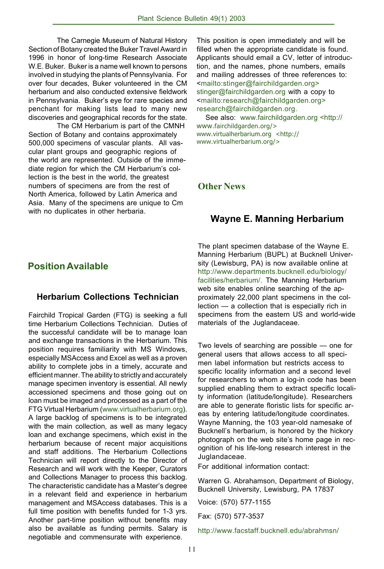The Carnegie Museum of Natural History Section of Botany created the Buker Travel Award in 1996 in honor of long-time Research Associate W.E. Buker. Buker is a name well known to persons involved in studying the plants of Pennsylvania. For over four decades, Buker volunteered in the CM herbarium and also conducted extensive fieldwork in Pennsylvania. Buker's eye for rare species and penchant for making lists lead to many new discoveries and geographical records for the state.

The CM Herbarium is part of the CMNH Section of Botany and contains approximately 500,000 specimens of vascular plants. All vascular plant groups and geographic regions of the world are represented. Outside of the immediate region for which the CM Herbarium's collection is the best in the world, the greatest numbers of specimens are from the rest of North America, followed by Latin America and Asia. Many of the specimens are unique to Cm with no duplicates in other herbaria.

This position is open immediately and will be filled when the appropriate candidate is found. Applicants should email a CV, letter of introduction, and the names, phone numbers, emails and mailing addresses of three references to: <mailto:stinger@fairchildgarden.org> stinger@fairchildgarden.org with a copy to <mailto:research@fairchildgarden.org> research@fairchildgarden.org.

 See also: www.fairchildgarden.org <http:// www.fairchildgarden.org/> www.virtualherbarium.org <http:// www.virtualherbarium.org/>

#### **Other News**

#### **Wayne E. Manning Herbarium**

# **Position Available**

#### **Herbarium Collections Technician**

Fairchild Tropical Garden (FTG) is seeking a full time Herbarium Collections Technician. Duties of the successful candidate will be to manage loan and exchange transactions in the Herbarium. This position requires familiarity with MS Windows, especially MSAccess and Excel as well as a proven ability to complete jobs in a timely, accurate and efficient manner. The ability to strictly and accurately manage specimen inventory is essential. All newly accessioned specimens and those going out on loan must be imaged and processed as a part of the FTG Virtual Herbarium (www.virtualherbarium.org). A large backlog of specimens is to be integrated with the main collection, as well as many legacy loan and exchange specimens, which exist in the herbarium because of recent major acquisitions and staff additions. The Herbarium Collections Technician will report directly to the Director of Research and will work with the Keeper, Curators and Collections Manager to process this backlog. The characteristic candidate has a Master's degree in a relevant field and experience in herbarium management and MSAccess databases. This is a full time position with benefits funded for 1-3 yrs. Another part-time position without benefits may also be available as funding permits. Salary is negotiable and commensurate with experience.

The plant specimen database of the Wayne E. Manning Herbarium (BUPL) at Bucknell University (Lewisburg, PA) is now available online at http://www.departments.bucknell.edu/biology/ facilities/herbarium/. The Manning Herbarium web site enables online searching of the approximately 22,000 plant specimens in the collection — a collection that is especially rich in specimens from the eastern US and world-wide materials of the Juglandaceae.

Two levels of searching are possible — one for general users that allows access to all specimen label information but restricts access to specific locality information and a second level for researchers to whom a log-in code has been supplied enabling them to extract specific locality information (latitude/longitude). Researchers are able to generate floristic lists for specific areas by entering latitude/longitude coordinates. Wayne Manning, the 103 year-old namesake of Bucknell's herbarium, is honored by the hickory photograph on the web site's home page in recognition of his life-long research interest in the Juglandaceae.

For additional information contact:

Warren G. Abrahamson, Department of Biology, Bucknell University, Lewisburg, PA 17837

Voice: (570) 577-1155

Fax: (570) 577-3537

http://www.facstaff.bucknell.edu/abrahmsn/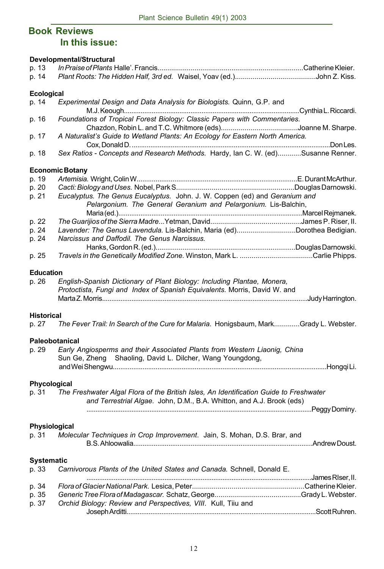# **Book Reviews In this issue:**

|                   | Developmental/Structural                                                                                                                      |  |
|-------------------|-----------------------------------------------------------------------------------------------------------------------------------------------|--|
| p. 13             |                                                                                                                                               |  |
| p. 14             |                                                                                                                                               |  |
| <b>Ecological</b> |                                                                                                                                               |  |
| p. 14             | Experimental Design and Data Analysis for Biologists. Quinn, G.P. and                                                                         |  |
| p. 16             | Foundations of Tropical Forest Biology: Classic Papers with Commentaries.                                                                     |  |
| p. 17             | A Naturalist's Guide to Wetland Plants: An Ecology for Eastern North America.                                                                 |  |
| p. 18             | Sex Ratios - Concepts and Research Methods. Hardy, Ian C. W. (ed)Susanne Renner.                                                              |  |
|                   |                                                                                                                                               |  |
|                   | <b>Economic Botany</b>                                                                                                                        |  |
| p. 19             |                                                                                                                                               |  |
| p. 20             |                                                                                                                                               |  |
| p. 21             | Eucalyptus. The Genus Eucalyptus. John. J. W. Coppen (ed) and Geranium and<br>Pelargonium. The General Geranium and Pelargonium. Lis-Balchin, |  |
|                   |                                                                                                                                               |  |
| p. 22             |                                                                                                                                               |  |
| p. 24             | Lavender: The Genus Lavendula. Lis-Balchin, Maria (ed)Dorothea Bedigian.                                                                      |  |
| p. 24             | Narcissus and Daffodil. The Genus Narcissus.                                                                                                  |  |
|                   |                                                                                                                                               |  |
| p. 25             |                                                                                                                                               |  |
| <b>Education</b>  |                                                                                                                                               |  |
| p. 26             | English-Spanish Dictionary of Plant Biology: Including Plantae, Monera,                                                                       |  |
|                   | Protoctista, Fungi and Index of Spanish Equivalents. Morris, David W. and                                                                     |  |
|                   |                                                                                                                                               |  |
| <b>Historical</b> |                                                                                                                                               |  |
|                   |                                                                                                                                               |  |
| p. 27             | The Fever Trail: In Search of the Cure for Malaria. Honigsbaum, MarkGrady L. Webster.                                                         |  |
|                   | Paleobotanical                                                                                                                                |  |
| p. 29             | Early Angiosperms and their Associated Plants from Western Liaonig, China                                                                     |  |
|                   | Sun Ge, Zheng Shaoling, David L. Dilcher, Wang Youngdong,                                                                                     |  |
|                   |                                                                                                                                               |  |
| Phycological      |                                                                                                                                               |  |
| p. 31             | The Freshwater Algal Flora of the British Isles, An Identification Guide to Freshwater                                                        |  |
|                   |                                                                                                                                               |  |
|                   | and Terrestrial Algae. John, D.M., B.A. Whitton, and A.J. Brook (eds)                                                                         |  |
|                   |                                                                                                                                               |  |
| Physiological     |                                                                                                                                               |  |
| p. 31             | Molecular Techniques in Crop Improvement. Jain, S. Mohan, D.S. Brar, and                                                                      |  |
|                   |                                                                                                                                               |  |
| <b>Systematic</b> |                                                                                                                                               |  |
| p. 33             | Carnivorous Plants of the United States and Canada. Schnell, Donald E.                                                                        |  |
|                   |                                                                                                                                               |  |
| p. 34             |                                                                                                                                               |  |
| p. 35             |                                                                                                                                               |  |
| p. 37             | Orchid Biology: Review and Perspectives, VIII. Kull, Tiiu and                                                                                 |  |
|                   |                                                                                                                                               |  |
|                   |                                                                                                                                               |  |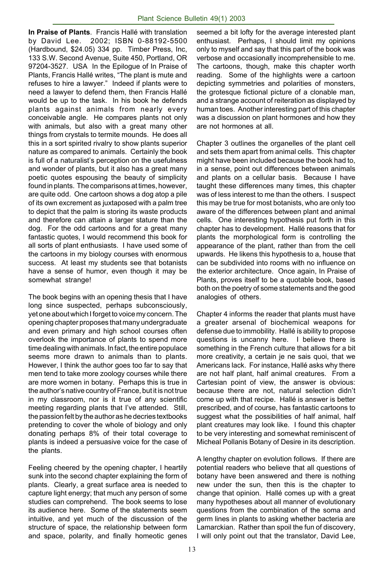**In Praise of Plants**. Francis Hallé with translation by David Lee. 2002; ISBN 0-88192-5500 (Hardbound, \$24.05) 334 pp. Timber Press, Inc, 133 S.W. Second Avenue, Suite 450, Portland, OR 97204-3527. USA In the Epilogue of In Praise of Plants, Francis Hallé writes, "The plant is mute and refuses to hire a lawyer." Indeed if plants were to need a lawyer to defend them, then Francis Hallé would be up to the task. In his book he defends plants against animals from nearly every conceivable angle. He compares plants not only with animals, but also with a great many other things from crystals to termite mounds. He does all this in a sort spirited rivalry to show plants superior nature as compared to animals. Certainly the book is full of a naturalist's perception on the usefulness and wonder of plants, but it also has a great many poetic quotes espousing the beauty of simplicity found in plants. The comparisons at times, however, are quite odd. One cartoon shows a dog atop a pile of its own excrement as juxtaposed with a palm tree to depict that the palm is storing its waste products and therefore can attain a larger stature than the dog. For the odd cartoons and for a great many fantastic quotes, I would recommend this book for all sorts of plant enthusiasts. I have used some of the cartoons in my biology courses with enormous success. At least my students see that botanists have a sense of humor, even though it may be somewhat strange!

The book begins with an opening thesis that I have long since suspected, perhaps subconsciously, yet one about which I forget to voice my concern. The opening chapter proposes that many undergraduate and even primary and high school courses often overlook the importance of plants to spend more time dealing with animals. In fact, the entire populace seems more drawn to animals than to plants. However, I think the author goes too far to say that men tend to take more zoology courses while there are more women in botany. Perhaps this is true in the author's native country of France, but it is not true in my classroom, nor is it true of any scientific meeting regarding plants that I've attended. Still, the passion felt by the author as he decries textbooks pretending to cover the whole of biology and only donating perhaps 8% of their total coverage to plants is indeed a persuasive voice for the case of the plants.

Feeling cheered by the opening chapter, I heartily sunk into the second chapter explaining the form of plants. Clearly, a great surface area is needed to capture light energy; that much any person of some studies can comprehend. The book seems to lose its audience here. Some of the statements seem intuitive, and yet much of the discussion of the structure of space, the relationship between form and space, polarity, and finally homeotic genes

seemed a bit lofty for the average interested plant enthusiast. Perhaps, I should limit my opinions only to myself and say that this part of the book was verbose and occasionally incomprehensible to me. The cartoons, though, make this chapter worth reading. Some of the highlights were a cartoon depicting symmetries and polarities of monsters, the grotesque fictional picture of a clonable man, and a strange account of reiteration as displayed by human toes. Another interesting part of this chapter was a discussion on plant hormones and how they are not hormones at all.

Chapter 3 outlines the organelles of the plant cell and sets them apart from animal cells. This chapter might have been included because the book had to, in a sense, point out differences between animals and plants on a cellular basis. Because I have taught these differences many times, this chapter was of less interest to me than the others. I suspect this may be true for most botanists, who are only too aware of the differences between plant and animal cells. One interesting hypothesis put forth in this chapter has to development. Hallé reasons that for plants the morphological form is controlling the appearance of the plant, rather than from the cell upwards. He likens this hypothesis to a, house that can be subdivided into rooms with no influence on the exterior architecture. Once again, In Praise of Plants, proves itself to be a quotable book, based both on the poetry of some statements and the good analogies of others.

Chapter 4 informs the reader that plants must have a greater arsenal of biochemical weapons for defense due to immobility. Hallé ís ability to propose questions is uncanny here. I believe there is something in the French culture that allows for a bit more creativity, a certain je ne sais quoi, that we Americans lack. For instance, Hallé asks why there are not half plant, half animal creatures. From a Cartesian point of view, the answer is obvious: because there are not, natural selection didn't come up with that recipe. Hallé is answer is better prescribed, and of course, has fantastic cartoons to suggest what the possibilities of half animal, half plant creatures may look like. I found this chapter to be very interesting and somewhat reminiscent of Micheal Pollanis Botany of Desire in its description.

A lengthy chapter on evolution follows. If there are potential readers who believe that all questions of botany have been answered and there is nothing new under the sun, then this is the chapter to change that opinion. Hallé comes up with a great many hypotheses about all manner of evolutionary questions from the combination of the soma and germ lines in plants to asking whether bacteria are Lamarckian. Rather than spoil the fun of discovery, I will only point out that the translator, David Lee,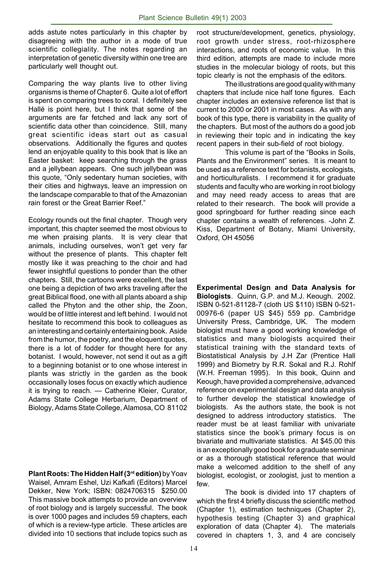adds astute notes particularly in this chapter by disagreeing with the author in a mode of true scientific collegiality. The notes regarding an interpretation of genetic diversity within one tree are particularly well thought out.

Comparing the way plants live to other living organisms is theme of Chapter 6. Quite a lot of effort is spent on comparing trees to coral. I definitely see Hallé is point here, but I think that some of the arguments are far fetched and lack any sort of scientific data other than coincidence. Still, many great scientific ideas start out as casual observations. Additionally the figures and quotes lend an enjoyable quality to this book that is like an Easter basket: keep searching through the grass and a jellybean appears. One such jellybean was this quote, "Only sedentary human societies, with their cities and highways, leave an impression on the landscape comparable to that of the Amazonian rain forest or the Great Barrier Reef."

Ecology rounds out the final chapter. Though very important, this chapter seemed the most obvious to me when praising plants. It is very clear that animals, including ourselves, won't get very far without the presence of plants. This chapter felt mostly like it was preaching to the choir and had fewer insightful questions to ponder than the other chapters. Still, the cartoons were excellent, the last one being a depiction of two arks traveling after the great Biblical flood, one with all plants aboard a ship called the Phyton and the other ship, the Zoon, would be of little interest and left behind. I would not hesitate to recommend this book to colleagues as an interesting and certainly entertaining book. Aside from the humor, the poetry, and the eloquent quotes, there is a lot of fodder for thought here for any botanist. I would, however, not send it out as a gift to a beginning botanist or to one whose interest in plants was strictly in the garden as the book occasionally loses focus on exactly which audience it is trying to reach. — Catherine Kleier, Curator, Adams State College Herbarium, Department of Biology, Adams State College, Alamosa, CO 81102

**Plant Roots: The Hidden Half (3rd edition)** by Yoav Waisel, Amram Eshel, Uzi Kafkafi (Editors) Marcel Dekker, New York; ISBN: 0824706315 \$250.00 This massive book attempts to provide an overview of root biology and is largely successful. The book is over 1000 pages and includes 59 chapters, each of which is a review-type article. These articles are divided into 10 sections that include topics such as root structure/development, genetics, physiology, root growth under stress, root-rhizosphere interactions, and roots of economic value. In this third edition, attempts are made to include more studies in the molecular biology of roots, but this topic clearly is not the emphasis of the editors.

The illustrations are good quality with many chapters that include nice half tone figures. Each chapter includes an extensive reference list that is current to 2000 or 2001 in most cases. As with any book of this type, there is variability in the quality of the chapters. But most of the authors do a good job in reviewing their topic and in indicating the key recent papers in their sub-field of root biology.

This volume is part of the "Books in Soils, Plants and the Environment" series. It is meant to be used as a reference text for botanists, ecologists, and horticulturalists. I recommend it for graduate students and faculty who are working in root biology and may need ready access to areas that are related to their research. The book will provide a good springboard for further reading since each chapter contains a wealth of references. -John Z. Kiss, Department of Botany, Miami University, Oxford, OH 45056

**Experimental Design and Data Analysis for Biologists**. Quinn, G.P. and M.J. Keough. 2002. ISBN 0-521-81128-7 (cloth US \$110) ISBN 0-521- 00976-6 (paper US \$45) 559 pp. Cambridge University Press, Cambridge, UK. The modern biologist must have a good working knowledge of statistics and many biologists acquired their statistical training with the standard texts of Biostatistical Analysis by J.H Zar (Prentice Hall 1999) and Biometry by R.R. Sokal and R.J. Rohlf (W.H. Freeman 1995). In this book, Quinn and Keough, have provided a comprehensive, advanced reference on experimental design and data analysis to further develop the statistical knowledge of biologists. As the authors state, the book is not designed to address introductory statistics. The reader must be at least familiar with univariate statistics since the book's primary focus is on bivariate and multivariate statistics. At \$45.00 this is an exceptionally good book for a graduate seminar or as a thorough statistical reference that would make a welcomed addition to the shelf of any biologist, ecologist, or zoologist, just to mention a few.

The book is divided into 17 chapters of which the first 4 briefly discuss the scientific method (Chapter 1), estimation techniques (Chapter 2), hypothesis testing (Chapter 3) and graphical exploration of data (Chapter 4). The materials covered in chapters 1, 3, and 4 are concisely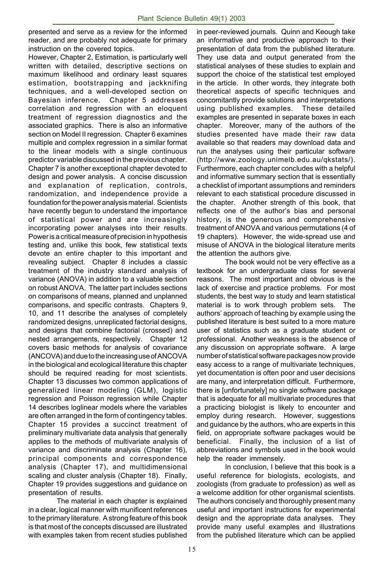presented and serve as a review for the informed reader, and are probably not adequate for primary instruction on the covered topics.

However, Chapter 2, Estimation, is particularly well written with detailed, descriptive sections on maximum likelihood and ordinary least squares estimation, bootstrapping and jackknifing techniques, and a well-developed section on Bayesian inference. Chapter 5 addresses correlation and regression with an eloquent treatment of regression diagnostics and the associated graphics. There is also an informative section on Model II regression. Chapter 6 examines multiple and complex regression in a similar format to the linear models with a single continuous predictor variable discussed in the previous chapter. Chapter 7 is another exceptional chapter devoted to design and power analysis. A concise discussion and explanation of replication, controls, randomization, and independence provide a foundation for the power analysis material. Scientists have recently begun to understand the importance of statistical power and are increasingly incorporating power analyses into their results. Power is a critical measure of precision in hypothesis testing and, unlike this book, few statistical texts devote an entire chapter to this important and revealing subject. Chapter 8 includes a classic treatment of the industry standard analysis of variance (ANOVA) in addition to a valuable section on robust ANOVA. The latter part includes sections on comparisons of means, planned and unplanned comparisons, and specific contrasts. Chapters 9, 10, and 11 describe the analyses of completely randomized designs, unreplicated factorial designs, and designs that combine factorial (crossed) and nested arrangements, respectively. Chapter 12 covers basic methods for analysis of covariance (ANCOVA) and due to the increasing use of ANCOVA in the biological and ecological literature this chapter should be required reading for most scientists. Chapter 13 discusses two common applications of generalized linear modeling (GLM), logistic regression and Poisson regression while Chapter 14 describes loglinear models where the variables are often arranged in the form of contingency tables. Chapter 15 provides a succinct treatment of preliminary multivariate data analysis that generally applies to the methods of multivariate analysis of variance and discriminate analysis (Chapter 16), principal components and correspondence analysis (Chapter 17), and multidimensional scaling and cluster analysis (Chapter 18). Finally, Chapter 19 provides suggestions and guidance on presentation of results.

The material in each chapter is explained in a clear, logical manner with munificent references to the primary literature. A strong feature of this book is that most of the concepts discussed are illustrated with examples taken from recent studies published

in peer-reviewed journals. Quinn and Keough take an informative and productive approach to their presentation of data from the published literature. They use data and output generated from the statistical analyses of these studies to explain and support the choice of the statistical test employed in the article. In other words, they integrate both theoretical aspects of specific techniques and concomitantly provide solutions and interpretations using published examples. These detailed examples are presented in separate boxes in each chapter. Moreover, many of the authors of the studies presented have made their raw data available so that readers may download data and run the analyses using their particular software (http://www.zoology.unimelb.edu.au/qkstats/). Furthermore, each chapter concludes with a helpful and informative summary section that is essentially a checklist of important assumptions and reminders relevant to each statistical procedure discussed in the chapter. Another strength of this book, that reflects one of the author's bias and personal history, is the generous and comprehensive treatment of ANOVA and various permutations (4 of 19 chapters). However, the wide-spread use and misuse of ANOVA in the biological literature merits the attention the authors give.

The book would not be very effective as a textbook for an undergraduate class for several reasons. The most important and obvious is the lack of exercise and practice problems. For most students, the best way to study and learn statistical material is to work through problem sets. The authors' approach of teaching by example using the published literature is best suited to a more mature user of statistics such as a graduate student or professional. Another weakness is the absence of any discussion on appropriate software. A large number of statistical software packages now provide easy access to a range of multivariate techniques, yet documentation is often poor and user decisions are many, and interpretation difficult. Furthermore, there is [unfortunately] no single software package that is adequate for all multivariate procedures that a practicing biologist is likely to encounter and employ during research. However, suggestions and guidance by the authors, who are experts in this field, on appropriate software packages would be beneficial. Finally, the inclusion of a list of abbreviations and symbols used in the book would help the reader immensely.

In conclusion, I believe that this book is a useful reference for biologists, ecologists, and zoologists (from graduate to profession) as well as a welcome addition for other organismal scientists. The authors concisely and thoroughly present many useful and important instructions for experimental design and the appropriate data analyses. They provide many useful examples and illustrations from the published literature which can be applied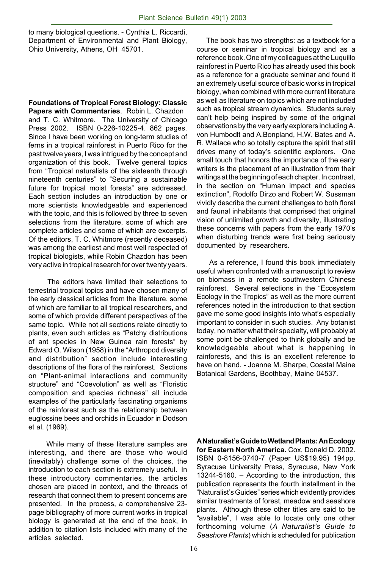to many biological questions. - Cynthia L. Riccardi, Department of Environmental and Plant Biology, Ohio University, Athens, OH 45701.

**Foundations of Tropical Forest Biology: Classic Papers with Commentaries**. Robin L. Chazdon and T. C. Whitmore. The University of Chicago Press 2002. ISBN 0-226-10225-4. 862 pages. Since I have been working on long-term studies of ferns in a tropical rainforest in Puerto Rico for the past twelve years, I was intrigued by the concept and organization of this book. Twelve general topics from "Tropical naturalists of the sixteenth through nineteenth centuries" to "Securing a sustainable future for tropical moist forests" are addressed. Each section includes an introduction by one or more scientists knowledgeable and experienced with the topic, and this is followed by three to seven selections from the literature, some of which are complete articles and some of which are excerpts. Of the editors, T. C. Whitmore (recently deceased) was among the earliest and most well respected of tropical biologists, while Robin Chazdon has been very active in tropical research for over twenty years.

 The editors have limited their selections to terrestrial tropical topics and have chosen many of the early classical articles from the literature, some of which are familiar to all tropical researchers, and some of which provide different perspectives of the same topic. While not all sections relate directly to plants, even such articles as "Patchy distributions of ant species in New Guinea rain forests" by Edward O. Wilson (1958) in the "Arthropod diversity and distribution" section include interesting descriptions of the flora of the rainforest. Sections on "Plant-animal interactions and community structure" and "Coevolution" as well as "Floristic composition and species richness" all include examples of the particularly fascinating organisms of the rainforest such as the relationship between euglossine bees and orchids in Ecuador in Dodson et al. (1969).

 While many of these literature samples are interesting, and there are those who would (inevitably) challenge some of the choices, the introduction to each section is extremely useful. In these introductory commentaries, the articles chosen are placed in context, and the threads of research that connect them to present concerns are presented. In the process, a comprehensive 23 page bibliography of more current works in tropical biology is generated at the end of the book, in addition to citation lists included with many of the articles selected.

 The book has two strengths: as a textbook for a course or seminar in tropical biology and as a reference book. One of my colleagues at the Luquillo rainforest in Puerto Rico has already used this book as a reference for a graduate seminar and found it an extremely useful source of basic works in tropical biology, when combined with more current literature as well as literature on topics which are not included such as tropical stream dynamics. Students surely can't help being inspired by some of the original observations by the very early explorers including A. von Humbodlt and A.Bonpland, H.W. Bates and A. R. Wallace who so totally capture the spirit that still drives many of today's scientific explorers. One small touch that honors the importance of the early writers is the placement of an illustration from their writings at the beginning of each chapter. In contrast, in the section on "Human impact and species extinction", Rodolfo Dirzo and Robert W. Sussman vividly describe the current challenges to both floral and faunal inhabitants that comprised that original vision of unlimited growth and diversity, illustrating these concerns with papers from the early 1970's when disturbing trends were first being seriously documented by researchers.

 As a reference, I found this book immediately useful when confronted with a manuscript to review on biomass in a remote southwestern Chinese rainforest. Several selections in the "Ecosystem Ecology in the Tropics" as well as the more current references noted in the introduction to that section gave me some good insights into what's especially important to consider in such studies. Any botanist today, no matter what their specialty, will probably at some point be challenged to think globally and be knowledgeable about what is happening in rainforests, and this is an excellent reference to have on hand. - Joanne M. Sharpe, Coastal Maine Botanical Gardens, Boothbay, Maine 04537.

**A Naturalist's Guide to Wetland Plants: An Ecology for Eastern North America.** Cox, Donald D. 2002. ISBN 0-8156-0740-7 (Paper US\$19.95) 194pp. Syracuse University Press, Syracuse, New York 13244-5160. – According to the introduction, this publication represents the fourth installment in the "Naturalist's Guides" series which evidently provides similar treatments of forest, meadow and seashore plants. Although these other titles are said to be "available", I was able to locate only one other forthcoming volume (*A Naturalist's Guide to Seashore Plants*) which is scheduled for publication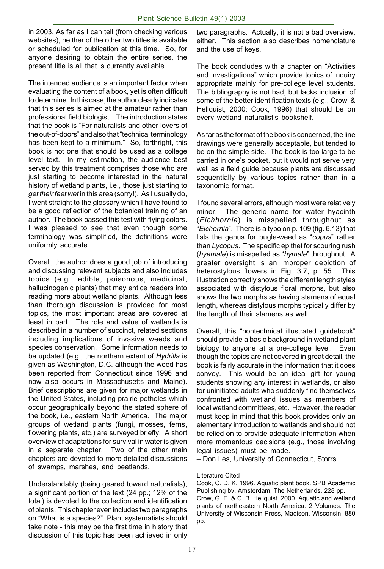in 2003. As far as I can tell (from checking various websites), neither of the other two titles is available or scheduled for publication at this time. So, for anyone desiring to obtain the entire series, the present title is all that is currently available.

The intended audience is an important factor when evaluating the content of a book, yet is often difficult to determine. In this case, the author clearly indicates that this series is aimed at the amateur rather than professional field biologist. The introduction states that the book is "For naturalists and other lovers of the out-of-doors" and also that "technical terminology has been kept to a minimum." So, forthright, this book is not one that should be used as a college level text. In my estimation, the audience best served by this treatment comprises those who are just starting to become interested in the natural history of wetland plants, i.e., those just starting to *get their feet wet* in this area (sorry!). As I usually do, I went straight to the glossary which I have found to be a good reflection of the botanical training of an author. The book passed this test with flying colors. I was pleased to see that even though some terminology was simplified, the definitions were uniformly accurate.

Overall, the author does a good job of introducing and discussing relevant subjects and also includes topics (e.g., edible, poisonous, medicinal, hallucinogenic plants) that may entice readers into reading more about wetland plants. Although less than thorough discussion is provided for most topics, the most important areas are covered at least in part. The role and value of wetlands is described in a number of succinct, related sections including implications of invasive weeds and species conservation. Some information needs to be updated (e.g., the northern extent of *Hydrilla* is given as Washington, D.C. although the weed has been reported from Connecticut since 1996 and now also occurs in Massachusetts and Maine). Brief descriptions are given for major wetlands in the United States, including prairie potholes which occur geographically beyond the stated sphere of the book, i.e., eastern North America. The major groups of wetland plants (fungi, mosses, ferns, flowering plants, etc.) are surveyed briefly. A short overview of adaptations for survival in water is given in a separate chapter. Two of the other main chapters are devoted to more detailed discussions of swamps, marshes, and peatlands.

Understandably (being geared toward naturalists), a significant portion of the text (24 pp.; 12% of the total) is devoted to the collection and identification of plants. This chapter even includes two paragraphs on "What is a species?" Plant systematists should take note - this may be the first time in history that discussion of this topic has been achieved in only

two paragraphs. Actually, it is not a bad overview, either. This section also describes nomenclature and the use of keys.

The book concludes with a chapter on "Activities and Investigations" which provide topics of inquiry appropriate mainly for pre-college level students. The bibliography is not bad, but lacks inclusion of some of the better identification texts (e.g., Crow & Hellquist, 2000; Cook, 1996) that should be on every wetland naturalist's bookshelf.

As far as the format of the book is concerned, the line drawings were generally acceptable, but tended to be on the simple side. The book is too large to be carried in one's pocket, but it would not serve very well as a field guide because plants are discussed sequentially by various topics rather than in a taxonomic format.

 I found several errors, although most were relatively minor. The generic name for water hyacinth (*Eichhornia*) is misspelled throughout as "*Eichornia*". There is a typo on p. 109 (fig. 6.13) that lists the genus for bugle-weed as "*copus*" rather than *Lycopus*. The specific epithet for scouring rush (*hyemale*) is misspelled as "*hymale*" throughout. A greater oversight is an improper depiction of heterostylous flowers in Fig. 3.7, p. 55. This illustration correctly shows the different length styles associated with distylous floral morphs, but also shows the two morphs as having stamens of equal length, whereas distylous morphs typically differ by the length of their stamens as well.

Overall, this "nontechnical illustrated guidebook" should provide a basic background in wetland plant biology to anyone at a pre-college level. Even though the topics are not covered in great detail, the book is fairly accurate in the information that it does convey. This would be an ideal gift for young students showing any interest in wetlands, or also for uninitiated adults who suddenly find themselves confronted with wetland issues as members of local wetland committees, etc. However, the reader must keep in mind that this book provides only an elementary introduction to wetlands and should not be relied on to provide adequate information when more momentous decisions (e.g., those involving legal issues) must be made.

– Don Les, University of Connecticut, Storrs.

#### Literature Cited

Cook, C. D. K. 1996. Aquatic plant book. SPB Academic Publishing bv, Amsterdam, The Netherlands. 228 pp. Crow, G. E. & C. B. Hellquist. 2000. Aquatic and wetland plants of northeastern North America. 2 Volumes. The University of Wisconsin Press, Madison, Wisconsin. 880 pp.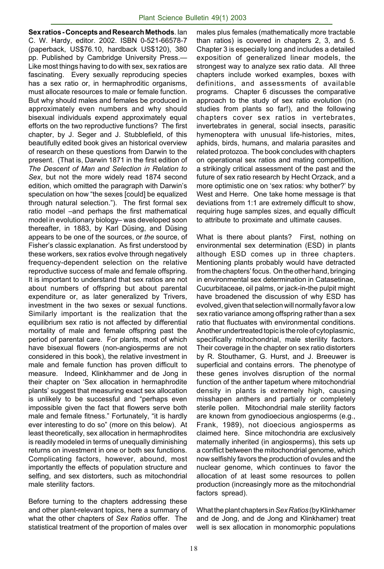**Sex ratios - Concepts and Research Methods**. Ian C. W. Hardy, editor. 2002. ISBN 0-521-66578-7 (paperback, US\$76.10, hardback US\$120), 380 pp. Published by Cambridge University Press.— Like most things having to do with sex, sex ratios are fascinating. Every sexually reproducing species has a sex ratio or, in hermaphroditic organisms. must allocate resources to male or female function. But why should males and females be produced in approximately even numbers and why should bisexual individuals expend approximately equal efforts on the two reproductive functions? The first chapter, by J. Seger and J. Stubblefield, of this beautifully edited book gives an historical overview of research on these questions from Darwin to the present. (That is, Darwin 1871 in the first edition of *The Descent of Man and Selection in Relation to Sex*, but not the more widely read 1874 second edition, which omitted the paragraph with Darwin's speculation on how "the sexes [could] be equalized through natural selection."). The first formal sex ratio model –and perhaps the first mathematical model in evolutionary biology– was developed soon thereafter, in 1883, by Karl Düsing, and Düsing appears to be one of the sources, or *the* source, of Fisher's classic explanation. As first understood by these workers, sex ratios evolve through negatively frequency-dependent selection on the relative reproductive success of male and female offspring. It is important to understand that sex ratios are not about numbers of offspring but about parental expenditure or, as later generalized by Trivers, investment in the two sexes or sexual functions. Similarly important is the realization that the equilibrium sex ratio is not affected by differential mortality of male and female offspring past the period of parental care. For plants, most of which have bisexual flowers (non-angiosperms are not considered in this book), the relative investment in male and female function has proven difficult to measure. Indeed, Klinkhammer and de Jong in their chapter on 'Sex allocation in hermaphrodite plants' suggest that measuring exact sex allocation is unlikely to be successful and "perhaps even impossible given the fact that flowers serve both male and female fitness." Fortunately, "it is hardly ever interesting to do so" (more on this below). At least theoretically, sex allocation in hermaphrodites is readily modeled in terms of unequally diminishing returns on investment in one or both sex functions. Complicating factors, however, abound, most importantly the effects of population structure and selfing, and sex distorters, such as mitochondrial male sterility factors.

Before turning to the chapters addressing these and other plant-relevant topics, here a summary of what the other chapters of *Sex Ratios* offer. The statistical treatment of the proportion of males over

males plus females (mathematically more tractable than ratios) is covered in chapters 2, 3, and 5. Chapter 3 is especially long and includes a detailed exposition of generalized linear models, the strongest way to analyze sex ratio data. All three chapters include worked examples, boxes with definitions, and assessments of available programs. Chapter 6 discusses the comparative approach to the study of sex ratio evolution (no studies from plants so far!), and the following chapters cover sex ratios in vertebrates, invertebrates in general, social insects, parasitic hymenoptera with unusual life-histories, mites, aphids, birds, humans, and malaria parasites and related protozoa. The book concludes with chapters on operational sex ratios and mating competition, a strikingly critical assessment of the past and the future of sex ratio research by Hecht Orzack, and a more optimistic one on 'sex ratios: why bother?' by West and Herre. One take home message is that deviations from 1:1 are extremely difficult to show, requiring huge samples sizes, and equally difficult to attribute to proximate and ultimate causes.

What is there about plants? First, nothing on environmental sex determination (ESD) in plants although ESD comes up in three chapters. Mentioning plants probably would have detracted from the chapters' focus. On the other hand, bringing in environmental sex determination in Catasetinae, Cucurbitaceae, oil palms, or jack-in-the pulpit might have broadened the discussion of why ESD has evolved, given that selection will normally favor a low sex ratio variance among offspring rather than a sex ratio that fluctuates with environmental conditions. Another undertreated topic is the role of cytoplasmic, specifically mitochondrial, male sterility factors. Their coverage in the chapter on sex ratio distorters by R. Stouthamer, G. Hurst, and J. Breeuwer is superficial and contains errors. The phenotype of these genes involves disruption of the normal function of the anther tapetum where mitochondrial density in plants is extremely high, causing misshapen anthers and partially or completely sterile pollen. Mitochondrial male sterility factors are known from gynodioecious angiosperms (e.g., Frank, 1989), not dioecious angiosperms as claimed here. Since mitochondria are exclusively maternally inherited (in angiosperms), this sets up a conflict between the mitochondrial genome, which now selfishly favors the production of ovules and the nuclear genome, which continues to favor the allocation of at least some resources to pollen production (increasingly more as the mitochondrial factors spread).

What the plant chapters in *Sex Ratios* (by Klinkhamer and de Jong, and de Jong and Klinkhamer) treat well is sex allocation in monomorphic populations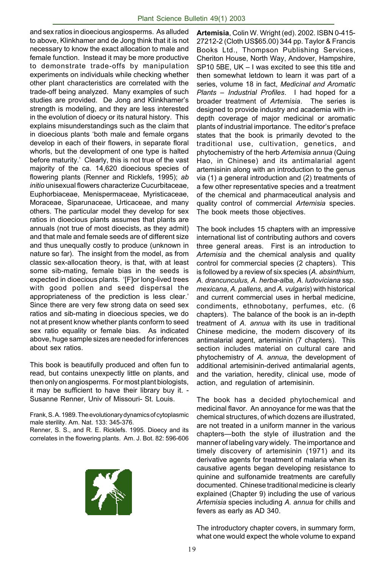and sex ratios in dioecious angiosperms. As alluded to above, Klinkhamer and de Jong think that it is not necessary to know the exact allocation to male and female function. Instead it may be more productive to demonstrate trade-offs by manipulation experiments on individuals while checking whether other plant characteristics are correlated with the trade-off being analyzed. Many examples of such studies are provided. De Jong and Klinkhamer's strength is modeling, and they are less interested in the evolution of dioecy or its natural history. This explains misunderstandings such as the claim that in dioecious plants 'both male and female organs develop in each of their flowers, in separate floral whorls, but the development of one type is halted before maturity.' Clearly, this is not true of the vast majority of the ca. 14,620 dioecious species of flowering plants (Renner and Ricklefs, 1995); *ab initio* unisexual flowers characterize Cucurbitaceae, Euphorbiaceae, Menispermaceae, Myristicaceae, Moraceae, Siparunaceae, Urticaceae, and many others. The particular model they develop for sex ratios in dioecious plants assumes that plants are annuals (not true of most dioecists, as they admit) and that male and female seeds are of different size and thus unequally costly to produce (unknown in nature so far). The insight from the model, as from classic sex-allocation theory, is that, with at least some sib-mating, female bias in the seeds is expected in dioecious plants. '[F]or long-lived trees with good pollen and seed dispersal the appropriateness of the prediction is less clear.' Since there are very few strong data on seed sex ratios and sib-mating in dioecious species, we do not at present know whether plants conform to seed sex ratio equality or female bias. As indicated above, huge sample sizes are needed for inferences about sex ratios.

This book is beautifully produced and often fun to read, but contains unexpectly little on plants, and then only on angiosperms. For most plant biologists, it may be sufficient to have their library buy it. - Susanne Renner, Univ of Missouri- St. Louis.

Frank, S. A. 1989. The evolutionary dynamics of cytoplasmic male sterility. Am. Nat. 133: 345-376.

Renner, S. S., and R. E. Ricklefs. 1995. Dioecy and its correlates in the flowering plants. Am. J. Bot. 82: 596-606



**Artemisia**, Colin W. Wright (ed). 2002. ISBN 0-415- 27212-2 (Cloth US\$65.00) 344 pp. Taylor & Francis Books Ltd., Thompson Publishing Services, Cheriton House, North Way, Andover, Hampshire, SP10 5BE, UK – I was excited to see this title and then somewhat letdown to learn it was part of a series, volume 18 in fact, *Medicinal and Aromatic Plants – Industrial Profiles*. I had hoped for a broader treatment of *Artemisia*. The series is designed to provide industry and academia with indepth coverage of major medicinal or aromatic plants of industrial importance. The editor's preface states that the book is primarily devoted to the traditional use, cultivation, genetics, and phytochemistry of the herb *Artemisia annua* (Quing Hao, in Chinese) and its antimalarial agent artemisinin along with an introduction to the genus via (1) a general introduction and (2) treatments of a few other representative species and a treatment of the chemical and pharmaceutical analysis and quality control of commercial *Artemisia* species. The book meets those objectives.

The book includes 15 chapters with an impressive international list of contributing authors and covers three general areas. First is an introduction to *Artemisia* and the chemical analysis and quality control for commercial species (2 chapters). This is followed by a review of six species (*A. absinthium, A. drancunculus, A. herba-alba, A. ludoviciana* ssp. *mexicana*, *A. pallens,* and *A. vulgaris*) with historical and current commercial uses in herbal medicine, condiments, ethnobotany, perfumes, etc. (6 chapters). The balance of the book is an in-depth treatment of *A. annua* with its use in traditional Chinese medicine, the modern discovery of its antimalarial agent, artemisinin (7 chapters). This section includes material on cultural care and phytochemistry of *A. annua*, the development of additional artemisinin-derived antimalarial agents, and the variation, heredity, clinical use, mode of action, and regulation of artemisinin.

The book has a decided phytochemical and medicinal flavor. An annoyance for me was that the chemical structures, of which dozens are illustrated, are not treated in a uniform manner in the various chapters—both the style of illustration and the manner of labeling vary widely. The importance and timely discovery of artemisinin (1971) and its derivative agents for treatment of malaria when its causative agents began developing resistance to quinine and sulfonamide treatments are carefully documented. Chinese traditional medicine is clearly explained (Chapter 9) including the use of various *Artemisia* species including *A. annua* for chills and fevers as early as AD 340.

The introductory chapter covers, in summary form, what one would expect the whole volume to expand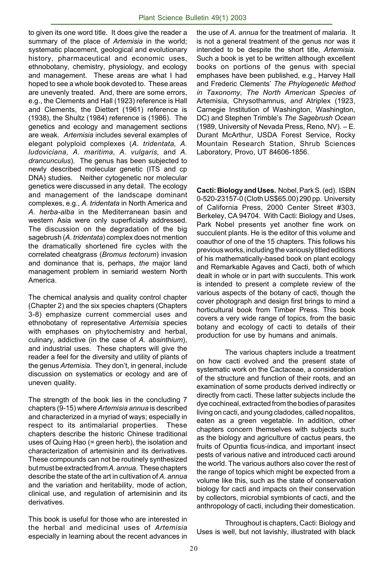to given its one word title. It does give the reader a summary of the place of *Artemisia* in the world; systematic placement, geological and evolutionary history, pharmaceutical and economic uses, ethnobotany, chemistry, physiology, and ecology and management. These areas are what I had hoped to see a whole book devoted to. These areas are unevenly treated. And, there are some errors, e.g., the Clements and Hall (1923) reference is Hall and Clements, the Diettert (1961) reference is (1938), the Shultz (1984) reference is (1986). The genetics and ecology and management sections are weak. *Artemisia* includes several examples of elegant polyploid complexes (*A. tridentata, A. ludoviciana, A. maritima, A. vulgaris,* and *A. drancunculus*). The genus has been subjected to newly described molecular genetic (ITS and cp DNA) studies. Neither cytogenetic nor molecular genetics were discussed in any detail. The ecology and management of the landscape dominant complexes, e.g., *A. tridentata* in North America and *A. herba-alba* in the Mediterranean basin and western Asia were only superficially addressed. The discussion on the degradation of the big sagebrush (*A. tridentata*) complex does not mention the dramatically shortened fire cycles with the correlated cheatgrass (*Bromus tectorum*) invasion and dominance that is, perhaps, *the* major land management problem in semiarid western North America.

The chemical analysis and quality control chapter (Chapter 2) and the six species chapters (Chapters 3-8) emphasize current commercial uses and ethnobotany of representative *Artemisia* species with emphases on phytochemistry and herbal, culinary, addictive (in the case of *A. absinthium*), and industrial uses. These chapters will give the reader a feel for the diversity and utility of plants of the genus *Artemisia*. They don't, in general, include discussion on systematics or ecology and are of uneven quality.

The strength of the book lies in the concluding 7 chapters (9-15) where *Artemisia annua* is described and characterized in a myriad of ways; especially in respect to its antimalarial properties. These chapters describe the historic Chinese traditional uses of Quing Hao (= green herb), the isolation and characterization of artemisinin and its derivatives. These compounds can not be routinely synthesized but must be extracted from *A. annua*. These chapters describe the state of the art in cultivation of *A. annua* and the variation and heritability, mode of action, clinical use, and regulation of artemisinin and its derivatives.

This book is useful for those who are interested in the herbal and medicinal uses of *Artemisia* especially in learning about the recent advances in the use of *A. annua* for the treatment of malaria. It is not a general treatment of the genus nor was it intended to be despite the short title, *Artemisia*. Such a book is yet to be written although excellent books on portions of the genus with special emphases have been published, e.g., Harvey Hall and Frederic Clements' *The Phylogenetic Method in Taxonomy, The North American Species of* Artemisia, Chrysothamnus, *and* Atriplex (1923, Carnegie Institution of Washington, Washington, DC) and Stephen Trimble's *The Sagebrush Ocean* (1989, University of Nevada Press, Reno, NV). – E. Durant McArthur, USDA Forest Service, Rocky Mountain Research Station, Shrub Sciences Laboratory, Provo, UT 84606-1856.

**Cacti: Biology and Uses.** Nobel, Park S. (ed). ISBN 0-520-23157-0 (Cloth US\$65.00) 290 pp. University of California Press, 2000 Center Street #303, Berkeley, CA 94704. With Cacti: Biology and Uses, Park Nobel presents yet another fine work on succulent plants. He is the editor of this volume and coauthor of one of the 15 chapters. This follows his previous works, including the variously titled editions of his mathematically-based book on plant ecology and Remarkable Agaves and Cacti, both of which dealt in whole or in part with succulents. This work is intended to present a complete review of the various aspects of the botany of cacti, though the cover photograph and design first brings to mind a horticultural book from Timber Press. This book covers a very wide range of topics, from the basic botany and ecology of cacti to details of their production for use by humans and animals.

The various chapters include a treatment on how cacti evolved and the present state of systematic work on the Cactaceae, a consideration of the structure and function of their roots, and an examination of some products derived indirectly or directly from cacti. These latter subjects include the dye cochineal, extracted from the bodies of parasites living on cacti, and young cladodes, called nopalitos, eaten as a green vegetable. In addition, other chapters concern themselves with subjects such as the biology and agriculture of cactus pears, the fruits of Opuntia ficus-indica, and important insect pests of various native and introduced cacti around the world. The various authors also cover the rest of the range of topics which might be expected from a volume like this, such as the state of conservation biology for cacti and impacts on their conservation by collectors, microbial symbionts of cacti, and the anthropology of cacti, including their domestication.

Throughout is chapters, Cacti: Biology and Uses is well, but not lavishly, illustrated with black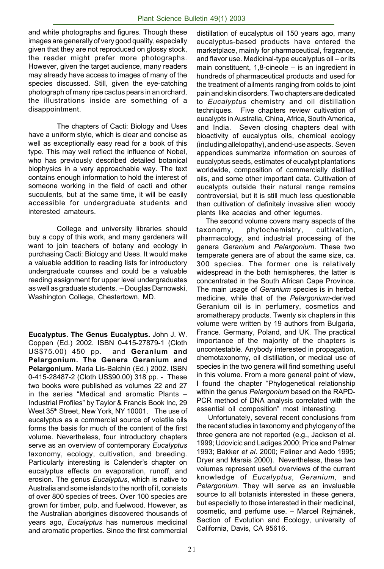and white photographs and figures. Though these images are generally of very good quality, especially given that they are not reproduced on glossy stock, the reader might prefer more photographs. However, given the target audience, many readers may already have access to images of many of the species discussed. Still, given the eye-catching photograph of many ripe cactus pears in an orchard, the illustrations inside are something of a disappointment.

The chapters of Cacti: Biology and Uses have a uniform style, which is clear and concise as well as exceptionally easy read for a book of this type. This may well reflect the influence of Nobel, who has previously described detailed botanical biophysics in a very approachable way. The text contains enough information to hold the interest of someone working in the field of cacti and other succulents, but at the same time, it will be easily accessible for undergraduate students and interested amateurs.

College and university libraries should buy a copy of this work, and many gardeners will want to join teachers of botany and ecology in purchasing Cacti: Biology and Uses. It would make a valuable addition to reading lists for introductory undergraduate courses and could be a valuable reading assignment for upper level undergraduates as well as graduate students. – Douglas Darnowski, Washington College, Chestertown, MD.

**Eucalyptus. The Genus Eucalyptus.** John J. W. Coppen (Ed.) 2002. ISBN 0-415-27879-1 (Cloth US\$75.00) 450 pp. and **Geranium and Pelargonium. The Genera Geranium and Pelargonium.** Maria Lis-Balchin (Ed.) 2002. ISBN 0-415-28487-2 (Cloth US\$90.00) 318 pp. - These two books were published as volumes 22 and 27 in the series "Medical and aromatic Plants – Industrial Profiles" by Taylor & Francis Book Inc, 29 West 35<sup>th</sup> Street, New York, NY 10001. The use of eucalyptus as a commercial source of volatile oils forms the basis for much of the content of the first volume. Nevertheless, four introductory chapters serve as an overview of contemporary *Eucalyptus* taxonomy, ecology, cultivation, and breeding. Particularly interesting is Calender's chapter on eucalyptus effects on evaporation, runoff, and erosion. The genus *Eucalyptus*, which is native to Australia and some islands to the north of it, consists of over 800 species of trees. Over 100 species are grown for timber, pulp, and fuelwood. However, as the Australian aborigines discovered thousands of years ago, *Eucalyptus* has numerous medicinal and aromatic properties. Since the first commercial

distillation of eucalyptus oil 150 years ago, many eucalyptus-based products have entered the marketplace, mainly for pharmaceutical, fragrance, and flavor use. Medicinal-type eucalyptus oil – or its main constituent, 1,8-cineole – is an ingredient in hundreds of pharmaceutical products and used for the treatment of ailments ranging from colds to joint pain and skin disorders. Two chapters are dedicated to *Eucalyptus* chemistry and oil distillation techniques. Five chapters review cultivation of eucalypts in Australia, China, Africa, South America, and India. Seven closing chapters deal with bioactivity of eucalyptus oils, chemical ecology (including allelopathy), and end-use aspects. Seven appendices summarize information on sources of eucalyptus seeds, estimates of eucalypt plantations worldwide, composition of commercially distilled oils, and some other important data. Cultivation of eucalypts outside their natural range remains controversial, but it is still much less questionable than cultivation of definitely invasive alien woody plants like acacias and other legumes.

 The second volume covers many aspects of the taxonomy, phytochemistry, cultivation, pharmacology, and industrial processing of the genera *Geranium* and *Pelargonium*. These two temperate genera are of about the same size, ca. 300 species. The former one is relatively widespread in the both hemispheres, the latter is concentrated in the South African Cape Province. The main usage of *Geranium* species is in herbal medicine, while that of the *Pelargonium*-derived Geranium oil is in perfumery, cosmetics and aromatherapy products. Twenty six chapters in this volume were written by 19 authors from Bulgaria, France. Germany, Poland, and UK. The practical importance of the majority of the chapters is uncontestable. Anybody interested in propagation, chemotaxonomy, oil distillation, or medical use of species in the two genera will find something useful in this volume. From a more general point of view, I found the chapter "Phylogenetical relationship within the genus *Pelargonium* based on the RAPD-PCR method of DNA analysis correlated with the essential oil composition" most interesting.

 Unfortunately, several recent conclusions from the recent studies in taxonomy and phylogeny of the three genera are not reported (e.g., Jackson et al. 1999; Udovicic and Ladiges 2000; Price and Palmer 1993; Bakker *et al*. 2000; Feliner and Aedo 1995; Dryer and Marais 2000). Nevertheless, these two volumes represent useful overviews of the current knowledge of *Eucalyptus, Geranium,* and *Pelargonium*. They will serve as an invaluable source to all botanists interested in these genera, but especially to those interested in their medicinal, cosmetic, and perfume use. – Marcel Rejmánek, Section of Evolution and Ecology, university of California, Davis, CA 95616.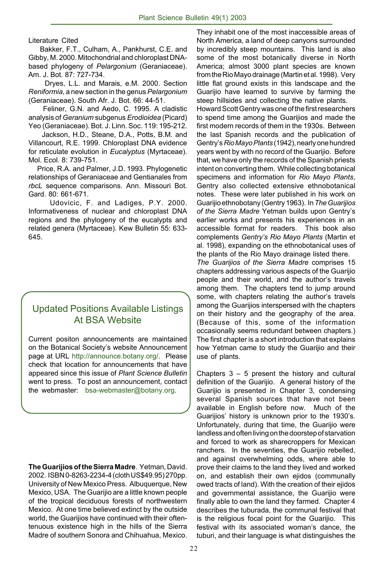Literature Cited

 Bakker, F.T., Culham, A., Pankhurst, C.E. and Gibby, M. 2000. Mitochondrial and chloroplast DNAbased phylogeny of *Pelargonium* (Geraniaceae). Am. J. Bot. 87: 727-734.

 Dryes, L.L. and Marais, e.M. 2000. Section *Reniformia*, a new section in the genus *Pelargonium* (Geraniaceae). South Afr. J. Bot. 66: 44-51.

 Feliner, G.N. and Aedo, C. 1995. A cladistic analysis of *Geranium* subgenus *Erodioidea* (Picard) Yeo (Geraniaceae). Bot. J. Linn. Soc. 119: 195-212.

 Jackson, H.D., Steane, D.A., Potts, B.M. and Villancourt, R.E. 1999. Chloroplast DNA evidence for reticulate evolution in *Eucalyptus* (Myrtaceae). Mol. Ecol. 8: 739-751.

 Price, R.A. and Palmer, J.D. 1993. Phylogenetic relationships of Geraniaceae and Gentianales from *rbcL* sequence comparisons. Ann. Missouri Bot. Gard. 80: 661-671.

 Udovicic, F. and Ladiges, P.Y. 2000. Informativeness of nuclear and chloroplast DNA regions and the phylogeny of the eucalypts and related genera (Myrtaceae). Kew Bulletin 55: 633- 645.

# Updated Positions Available Listings At BSA Website

Current positon announcements are maintained on the Botanical Society's website Announcement page at URL http://announce.botany.org/. Please check that location for announcements that have appeared since this issue of *Plant Science Bulletin* went to press. To post an announcement, contact the webmaster: bsa-webmaster@botany.org.

**The Guarijios of the Sierra Madre**. Yetman, David. 2002. ISBN 0-8263-2234-4 (cloth US\$49.95) 270pp. University of New Mexico Press. Albuquerque, New Mexico, USA. The Guarijio are a little known people of the tropical deciduous forests of northwestern Mexico. At one time believed extinct by the outside world, the Guarijios have continued with their oftentenuous existence high in the hills of the Sierra Madre of southern Sonora and Chihuahua, Mexico.

They inhabit one of the most inaccessible areas of North America, a land of deep canyons surrounded by incredibly steep mountains. This land is also some of the most botanically diverse in North America; almost 3000 plant species are known from the Rio Mayo drainage (Martin et al. 1998). Very little flat ground exists in this landscape and the Guarijio have learned to survive by farming the steep hillsides and collecting the native plants.

Howard Scott Gentry was one of the first researchers to spend time among the Guarijios and made the first modern records of them in the 1930s. Between the last Spanish records and the publication of Gentry's *Rio Mayo Plants* (1942), nearly one hundred years went by with no record of the Guarijio. Before that, we have only the records of the Spanish priests intent on converting them. While collecting botanical specimens and information for *Rio Mayo Plants*, Gentry also collected extensive ethnobotanical notes. These were later published in his work on Guarijio ethnobotany (Gentry 1963). In *The Guarijios of the Sierra Madre* Yetman builds upon Gentry's earlier works and presents his experiences in an accessible format for readers. This book also complements *Gentry's Rio Mayo Plants* (Martin et al. 1998), expanding on the ethnobotanical uses of the plants of the Rio Mayo drainage listed there. *The Guarijios of the Sierra Madre* comprises 15 chapters addressing various aspects of the Guarijio people and their world, and the author's travels

among them. The chapters tend to jump around some, with chapters relating the author's travels among the Guarijios interspersed with the chapters on their history and the geography of the area. (Because of this, some of the information occasionally seems redundant between chapters.) The first chapter is a short introduction that explains how Yetman came to study the Guarijio and their use of plants.

Chapters  $3 - 5$  present the history and cultural definition of the Guarijio. A general history of the Guarijio is presented in Chapter 3, condensing several Spanish sources that have not been available in English before now. Much of the Guarijios' history is unknown prior to the 1930's. Unfortunately, during that time, the Guarijio were landless and often living on the doorstep of starvation and forced to work as sharecroppers for Mexican ranchers. In the seventies, the Guarijio rebelled, and against overwhelming odds, where able to prove their claims to the land they lived and worked on, and establish their own ejidos (communally owed tracts of land). With the creation of their ejidos and governmental assistance, the Guarijio were finally able to own the land they farmed. Chapter 4 describes the tuburada, the communal festival that is the religious focal point for the Guarijio. This festival with its associated woman's dance, the tuburi, and their language is what distinguishes the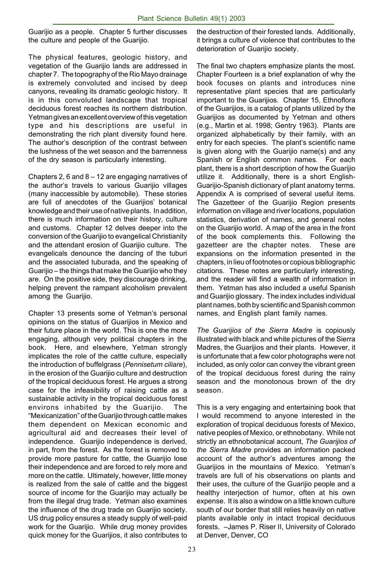Guarijio as a people. Chapter 5 further discusses the culture and people of the Guarijio.

The physical features, geologic history, and vegetation of the Guarijio lands are addressed in chapter 7. The topography of the Rio Mayo drainage is extremely convoluted and incised by deep canyons, revealing its dramatic geologic history. It is in this convoluted landscape that tropical deciduous forest reaches its northern distribution. Yetman gives an excellent overview of this vegetation type and his descriptions are useful in demonstrating the rich plant diversity found here. The author's description of the contrast between the lushness of the wet season and the barrenness of the dry season is particularly interesting.

Chapters 2, 6 and 8 – 12 are engaging narratives of the author's travels to various Guarijio villages (many inaccessible by automobile). These stories are full of anecdotes of the Guarijios' botanical knowledge and their use of native plants. In addition, there is much information on their history, culture and customs. Chapter 12 delves deeper into the conversion of the Guarijio to evangelical Christianity and the attendant erosion of Guarijio culture. The evangelicals denounce the dancing of the tuburi and the associated tuburada, and the speaking of Guarijio – the things that make the Guarijio who they are. On the positive side, they discourage drinking, helping prevent the rampant alcoholism prevalent among the Guarijio.

Chapter 13 presents some of Yetman's personal opinions on the status of Guarijios in Mexico and their future place in the world. This is one the more engaging, although very political chapters in the book. Here, and elsewhere, Yetman strongly implicates the role of the cattle culture, especially the introduction of buffelgrass (*Pennisetum ciliare*), in the erosion of the Guarijio culture and destruction of the tropical deciduous forest. He argues a strong case for the infeasibility of raising cattle as a sustainable activity in the tropical deciduous forest environs inhabited by the Guarijio. The "Mexicanization" of the Guarijio through cattle makes them dependent on Mexican economic and agricultural aid and decreases their level of independence. Guarijio independence is derived, in part, from the forest. As the forest is removed to provide more pasture for cattle, the Guarijio lose their independence and are forced to rely more and more on the cattle. Ultimately, however, little money is realized from the sale of cattle and the biggest source of income for the Guarijio may actually be from the illegal drug trade. Yetman also examines the influence of the drug trade on Guarijio society. US drug policy ensures a steady supply of well-paid work for the Guarijio. While drug money provides quick money for the Guarijios, it also contributes to the destruction of their forested lands. Additionally, it brings a culture of violence that contributes to the deterioration of Guarijio society.

The final two chapters emphasize plants the most. Chapter Fourteen is a brief explanation of why the book focuses on plants and introduces nine representative plant species that are particularly important to the Guarijios. Chapter 15, Ethnoflora of the Guarijios, is a catalog of plants utilized by the Guarijios as documented by Yetman and others (e.g., Martin et al. 1998; Gentry 1963). Plants are organized alphabetically by their family, with an entry for each species. The plant's scientific name is given along with the Guarijio name(s) and any Spanish or English common names. For each plant, there is a short description of how the Guarijio utilize it. Additionally, there is a short English-Guarijio-Spanish dictionary of plant anatomy terms. Appendix A is comprised of several useful items. The Gazetteer of the Guarijio Region presents information on village and river locations, population statistics, derivation of names, and general notes on the Guarijio world. A map of the area in the front of the book complements this. Following the gazetteer are the chapter notes. These are expansions on the information presented in the chapters, in lieu of footnotes or copious bibliographic citations. These notes are particularly interesting, and the reader will find a wealth of information in them. Yetman has also included a useful Spanish and Guarijio glossary. The index includes individual plant names, both by scientific and Spanish common names, and English plant family names.

*The Guarijios of the Sierra Madre* is copiously illustrated with black and white pictures of the Sierra Madres, the Guarijios and their plants. However, it is unfortunate that a few color photographs were not included, as only color can convey the vibrant green of the tropical deciduous forest during the rainy season and the monotonous brown of the dry season.

This is a very engaging and entertaining book that I would recommend to anyone interested in the exploration of tropical deciduous forests of Mexico, native peoples of Mexico, or ethnobotany. While not strictly an ethnobotanical account, *The Guarijios of the Sierra Madre* provides an information packed account of the author's adventures among the Guarijios in the mountains of Mexico. Yetman's travels are full of his observations on plants and their uses, the culture of the Guarijio people and a healthy interjection of humor, often at his own expense. It is also a window on a little known culture south of our border that still relies heavily on native plants available only in intact tropical deciduous forests. –James P. Riser II, University of Colorado at Denver, Denver, CO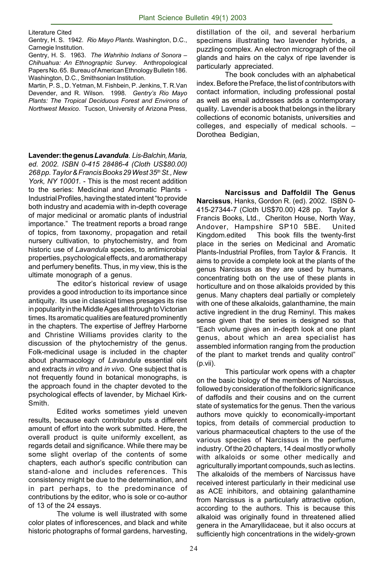Literature Cited

Gentry, H. S. 1942. *Rio Mayo Plants*. Washington, D.C., Carnegie Institution.

Gentry, H. S. 1963. *The Wahrihio Indians of Sonora – Chihuahua: An Ethnographic Survey*. Anthropological Papers No. 65. Bureau of American Ethnology Bulletin 186. Washington, D.C., Smithsonian Institution.

Martin, P. S., D. Yetman, M. Fishbein, P. Jenkins, T. R.Van Devender, and R. Wilson. 1998. *Gentry's Rio Mayo Plants: The Tropical Deciduous Forest and Environs of Northwest Mexico*. Tucson, University of Arizona Press.

**Lavender: the genus** *Lavandula*. *Lis-Balchin, Maria, ed. 2002. ISBN 0-415 28486-4 (Cloth US\$80.00) 268 pp. Taylor & Francis Books 29 West 35th St., New York, NY 10001.* - This is the most recent addition to the series: Medicinal and Aromatic Plants - Industrial Profiles, having the stated intent "to provide both industry and academia with in-depth coverage of major medicinal or aromatic plants of industrial importance." The treatment reports a broad range of topics, from taxonomy, propagation and retail nursery cultivation, to phytochemistry, and from historic use of *Lavandula* species, to antimicrobial properties, psychological effects, and aromatherapy and perfumery benefits. Thus, in my view, this is the ultimate monograph of a genus.

The editor's historical review of usage provides a good introduction to its importance since antiquity. Its use in classical times presages its rise in popularity in the Middle Ages all through to Victorian times. Its aromatic qualities are featured prominently in the chapters. The expertise of Jeffrey Harborne and Christine Williams provides clarity to the discussion of the phytochemistry of the genus. Folk-medicinal usage is included in the chapter about pharmacology of *Lavandula* essential oils and extracts *in vitro* and *in vivo*. One subject that is not frequently found in botanical monographs, is the approach found in the chapter devoted to the psychological effects of lavender, by Michael Kirk-Smith.

Edited works sometimes yield uneven results, because each contributor puts a different amount of effort into the work submitted. Here, the overall product is quite uniformly excellent, as regards detail and significance. While there may be some slight overlap of the contents of some chapters, each author's specific contribution can stand-alone and includes references. This consistency might be due to the determination, and in part perhaps, to the predominance of contributions by the editor, who is sole or co-author of 13 of the 24 essays.

The volume is well illustrated with some color plates of inflorescences, and black and white historic photographs of formal gardens, harvesting, distillation of the oil, and several herbarium specimens illustrating two lavender hybrids, a puzzling complex. An electron micrograph of the oil glands and hairs on the calyx of ripe lavender is particularly appreciated.

The book concludes with an alphabetical index. Before the Preface, the list of contributors with contact information, including professional postal as well as email addresses adds a contemporary quality. Lavender is a book that belongs in the library collections of economic botanists, universities and colleges, and especially of medical schools. – Dorothea Bedigian,

**Narcissus and Daffoldil The Genus Narcissus**, Hanks, Gordon R. (ed). 2002. ISBN 0- 415-27344-7 (Cloth US\$70.00) 428 pp. Taylor & Francis Books, Ltd., Cheriton House, North Way, Andover, Hampshire SP10 5BE. United Kingdom.edited This book fills the twenty-first place in the series on Medicinal and Aromatic Plants-Industrial Profiles, from Taylor & Francis. It aims to provide a complete look at the plants of the genus Narcissus as they are used by humans, concentrating both on the use of these plants in horticulture and on those alkaloids provided by this genus. Many chapters deal partially or completely with one of these alkaloids, galanthamine, the main active ingredient in the drug Reminyl. This makes sense given that the series is designed so that "Each volume gives an in-depth look at one plant genus, about which an area specialist has assembled information ranging from the production of the plant to market trends and quality control" (p.vii).

This particular work opens with a chapter on the basic biology of the members of Narcissus, followed by consideration of the folkloric significance of daffodils and their cousins and on the current state of systematics for the genus. Then the various authors move quickly to economically-important topics, from details of commercial production to various pharmaceutical chapters to the use of the various species of Narcissus in the perfume industry. Of the 20 chapters, 14 deal mostly or wholly with alkaloids or some other medically and agriculturally important compounds, such as lectins. The alkaloids of the members of Narcissus have received interest particularly in their medicinal use as ACE inhibitors, and obtaining galanthamine from Narcissus is a particularly attractive option, according to the authors. This is because this alkaloid was originally found in threatened allied genera in the Amaryllidaceae, but it also occurs at sufficiently high concentrations in the widely-grown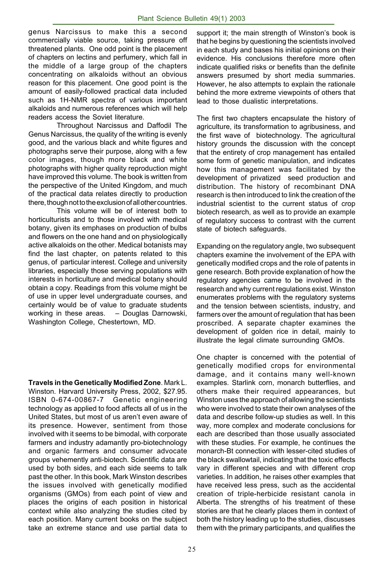genus Narcissus to make this a second commercially viable source, taking pressure off threatened plants. One odd point is the placement of chapters on lectins and perfumery, which fall in the middle of a large group of the chapters concentrating on alkaloids without an obvious reason for this placement. One good point is the amount of easily-followed practical data included such as 1H-NMR spectra of various important alkaloids and numerous references which will help readers access the Soviet literature.

Throughout Narcissus and Daffodil The Genus Narcissus, the quality of the writing is evenly good, and the various black and white figures and photographs serve their purpose, along with a few color images, though more black and white photographs with higher quality reproduction might have improved this volume. The book is written from the perspective of the United Kingdom, and much of the practical data relates directly to production there, though not to the exclusion of all other countries.

This volume will be of interest both to horticulturists and to those involved with medical botany, given its emphases on production of bulbs and flowers on the one hand and on physiologically active alkaloids on the other. Medical botanists may find the last chapter, on patents related to this genus, of particular interest. College and university libraries, especially those serving populations with interests in horticulture and medical botany should obtain a copy. Readings from this volume might be of use in upper level undergraduate courses, and certainly would be of value to graduate students working in these areas. – Douglas Darnowski, Washington College, Chestertown, MD.

**Travels in the Genetically Modified Zone**. Mark L. Winston. Harvard University Press, 2002, \$27.95. ISBN 0-674-00867-7 Genetic engineering technology as applied to food affects all of us in the United States, but most of us aren't even aware of its presence. However, sentiment from those involved with it seems to be bimodal, with corporate farmers and industry adamantly pro-biotechnology and organic farmers and consumer advocate groups vehemently anti-biotech. Scientific data are used by both sides, and each side seems to talk past the other. In this book, Mark Winston describes the issues involved with genetically modified organisms (GMOs) from each point of view and places the origins of each position in historical context while also analyzing the studies cited by each position. Many current books on the subject take an extreme stance and use partial data to

support it; the main strength of Winston's book is that he begins by questioning the scientists involved in each study and bases his initial opinions on their evidence. His conclusions therefore more often indicate qualified risks or benefits than the definite answers presumed by short media summaries. However, he also attempts to explain the rationale behind the more extreme viewpoints of others that lead to those dualistic interpretations.

The first two chapters encapsulate the history of agriculture, its transformation to agribusiness, and the first wave of biotechnology. The agricultural history grounds the discussion with the concept that the entirety of crop management has entailed some form of genetic manipulation, and indicates how this management was facilitated by the development of privatized seed production and distribution. The history of recombinant DNA research is then introduced to link the creation of the industrial scientist to the current status of crop biotech research, as well as to provide an example of regulatory success to contrast with the current state of biotech safeguards.

Expanding on the regulatory angle, two subsequent chapters examine the involvement of the EPA with genetically modified crops and the role of patents in gene research. Both provide explanation of how the regulatory agencies came to be involved in the research and why current regulations exist. Winston enumerates problems with the regulatory systems and the tension between scientists, industry, and farmers over the amount of regulation that has been proscribed. A separate chapter examines the development of golden rice in detail, mainly to illustrate the legal climate surrounding GMOs.

One chapter is concerned with the potential of genetically modified crops for environmental damage, and it contains many well-known examples. Starlink corn, monarch butterflies, and others make their required appearances, but Winston uses the approach of allowing the scientists who were involved to state their own analyses of the data and describe follow-up studies as well. In this way, more complex and moderate conclusions for each are described than those usually associated with these studies. For example, he continues the monarch-Bt connection with lesser-cited studies of the black swallowtail, indicating that the toxic effects vary in different species and with different crop varieties. In addition, he raises other examples that have received less press, such as the accidental creation of triple-herbicide resistant canola in Alberta. The strengths of his treatment of these stories are that he clearly places them in context of both the history leading up to the studies, discusses them with the primary participants, and qualifies the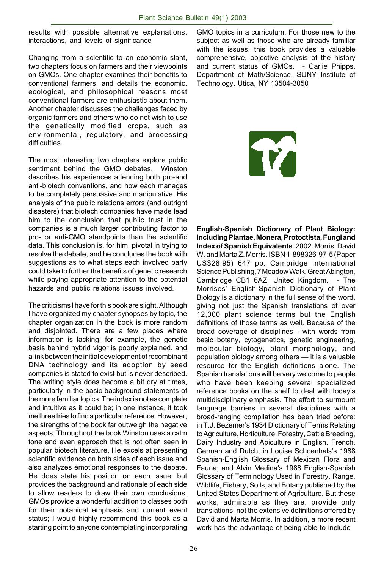results with possible alternative explanations, interactions, and levels of significance

Changing from a scientific to an economic slant, two chapters focus on farmers and their viewpoints on GMOs. One chapter examines their benefits to conventional farmers, and details the economic, ecological, and philosophical reasons most conventional farmers are enthusiastic about them. Another chapter discusses the challenges faced by organic farmers and others who do not wish to use the genetically modified crops, such as environmental, regulatory, and processing difficulties.

The most interesting two chapters explore public sentiment behind the GMO debates. Winston describes his experiences attending both pro-and anti-biotech conventions, and how each manages to be completely persuasive and manipulative. His analysis of the public relations errors (and outright disasters) that biotech companies have made lead him to the conclusion that public trust in the companies is a much larger contributing factor to pro- or anti-GMO standpoints than the scientific data. This conclusion is, for him, pivotal in trying to resolve the debate, and he concludes the book with suggestions as to what steps each involved party could take to further the benefits of genetic research while paying appropriate attention to the potential hazards and public relations issues involved.

The criticisms I have for this book are slight. Although I have organized my chapter synopses by topic, the chapter organization in the book is more random and disjointed. There are a few places where information is lacking; for example, the genetic basis behind hybrid vigor is poorly explained, and a link between the initial development of recombinant DNA technology and its adoption by seed companies is stated to exist but is never described. The writing style does become a bit dry at times, particularly in the basic background statements of the more familiar topics. The index is not as complete and intuitive as it could be; in one instance, it took me three tries to find a particular reference. However, the strengths of the book far outweigh the negative aspects. Throughout the book Winston uses a calm tone and even approach that is not often seen in popular biotech literature. He excels at presenting scientific evidence on both sides of each issue and also analyzes emotional responses to the debate. He does state his position on each issue, but provides the background and rationale of each side to allow readers to draw their own conclusions. GMOs provide a wonderful addition to classes both for their botanical emphasis and current event status; I would highly recommend this book as a starting point to anyone contemplating incorporating

GMO topics in a curriculum. For those new to the subject as well as those who are already familiar with the issues, this book provides a valuable comprehensive, objective analysis of the history and current status of GMOs. - Carlie Phipps, Department of Math/Science, SUNY Institute of Technology, Utica, NY 13504-3050

**TZ** 

**English-Spanish Dictionary of Plant Biology: Including Plantae, Monera, Protoctista, Fungi and Index of Spanish Equivalents**. 2002. Morris, David W. and Marta Z. Morris. ISBN 1-898326-97-5 (Paper US\$28.95) 647 pp. Cambridge International Science Publishing, 7 Meadow Walk, Great Abington, Cambridge CB1 6AZ, United Kingdom. - The Morrises' English-Spanish Dictionary of Plant Biology is a dictionary in the full sense of the word, giving not just the Spanish translations of over 12,000 plant science terms but the English definitions of those terms as well. Because of the broad coverage of disciplines - with words from basic botany, cytogenetics, genetic engineering, molecular biology, plant morphology, and population biology among others — it is a valuable resource for the English definitions alone. The Spanish translations will be very welcome to people who have been keeping several specialized reference books on the shelf to deal with today's multidisciplinary emphasis. The effort to surmount language barriers in several disciplines with a broad-ranging compilation has been tried before: in T.J. Bezemer's 1934 Dictionary of Terms Relating to Agriculture, Horticulture, Forestry, Cattle Breeding, Dairy Industry and Apiculture in English, French, German and Dutch; in Louise Schoenhals's 1988 Spanish-English Glossary of Mexican Flora and Fauna; and Alvin Medina's 1988 English-Spanish Glossary of Terminology Used in Forestry, Range, Wildlife, Fishery, Soils, and Botany published by the United States Department of Agriculture. But these works, admirable as they are, provide only translations, not the extensive definitions offered by David and Marta Morris. In addition, a more recent work has the advantage of being able to include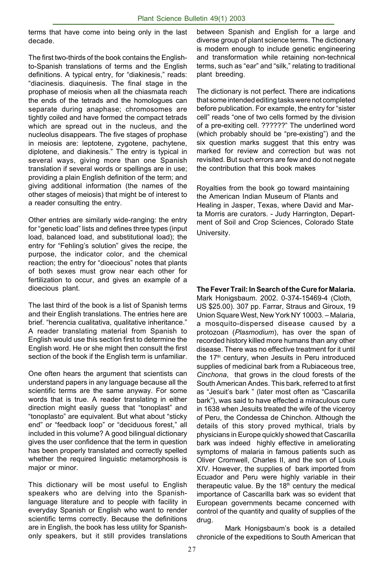terms that have come into being only in the last decade.

The first two-thirds of the book contains the Englishto-Spanish translations of terms and the English definitions. A typical entry, for "diakinesis," reads: "diacinesis. diaquinesis. The final stage in the prophase of meiosis when all the chiasmata reach the ends of the tetrads and the homologues can separate during anaphase; chromosomes are tightly coiled and have formed the compact tetrads which are spread out in the nucleus, and the nucleolus disappears. The five stages of prophase in meiosis are: leptotene, zygotene, pachytene, diplotene, and diakinesis." The entry is typical in several ways, giving more than one Spanish translation if several words or spellings are in use; providing a plain English definition of the term; and giving additional information (the names of the other stages of meiosis) that might be of interest to a reader consulting the entry.

Other entries are similarly wide-ranging: the entry for "genetic load" lists and defines three types (input load, balanced load, and substitutional load); the entry for "Fehling's solution" gives the recipe, the purpose, the indicator color, and the chemical reaction; the entry for "dioecious" notes that plants of both sexes must grow near each other for fertilization to occur, and gives an example of a dioecious plant.

The last third of the book is a list of Spanish terms and their English translations. The entries here are brief. "herencia cualitativa, qualitative inheritance." A reader translating material from Spanish to English would use this section first to determine the English word. He or she might then consult the first section of the book if the English term is unfamiliar.

One often hears the argument that scientists can understand papers in any language because all the scientific terms are the same anyway. For some words that is true. A reader translating in either direction might easily guess that "tonoplast" and "tonoplasto" are equivalent. But what about "sticky end" or "feedback loop" or "deciduous forest," all included in this volume? A good bilingual dictionary gives the user confidence that the term in question has been properly translated and correctly spelled whether the required linguistic metamorphosis is major or minor.

This dictionary will be most useful to English speakers who are delving into the Spanishlanguage literature and to people with facility in everyday Spanish or English who want to render scientific terms correctly. Because the definitions are in English, the book has less utility for Spanishonly speakers, but it still provides translations between Spanish and English for a large and diverse group of plant science terms. The dictionary is modern enough to include genetic engineering and transformation while retaining non-technical terms, such as "ear" and "silk," relating to traditional plant breeding.

The dictionary is not perfect. There are indications that some intended editing tasks were not completed before publication. For example, the entry for "sister cell" reads "one of two cells formed by the division of a pre-exiting cell. ??????" The underlined word (which probably should be "pre-existing") and the six question marks suggest that this entry was marked for review and correction but was not revisited. But such errors are few and do not negate the contribution that this book makes

Royalties from the book go toward maintaining the American Indian Museum of Plants and Healing in Jasper, Texas, where David and Marta Morris are curators. - Judy Harrington, Department of Soil and Crop Sciences, Colorado State University.

**The Fever Trail: In Search of the Cure for Malaria.**

Mark Honigsbaum. 2002. 0-374-15469-4 (Cloth, US \$25.00). 307 pp. Farrar, Straus and Giroux, 19 Union Square West, New York NY 10003. – Malaria, a mosquito-dispersed disease caused by a protozoan (*Plasmodium*), has over the span of recorded history killed more humans than any other disease. There was no effective treatment for it until the 17<sup>th</sup> century, when Jesuits in Peru introduced supplies of medicinal bark from a Rubiaceous tree, *Cinchona*, that grows in the cloud forests of the South American Andes. This bark, referred to at first as "Jesuit's bark " (later most often as "Cascarilla bark"), was said to have effected a miraculous cure in 1638 when Jesuits treated the wife of the viceroy of Peru, the Condessa de Chinchon. Although the details of this story proved mythical, trials by physicians in Europe quickly showed that Cascarilla bark was indeed highly effective in ameliorating symptoms of malaria in famous patients such as Oliver Cromwell, Charles II, and the son of Louis XIV. However, the supplies of bark imported from Ecuador and Peru were highly variable in their therapeutic value. By the  $18<sup>th</sup>$  century the medical importance of Cascarilla bark was so evident that European governments became concerned with control of the quantity and quality of supplies of the drug.

Mark Honigsbaum's book is a detailed chronicle of the expeditions to South American that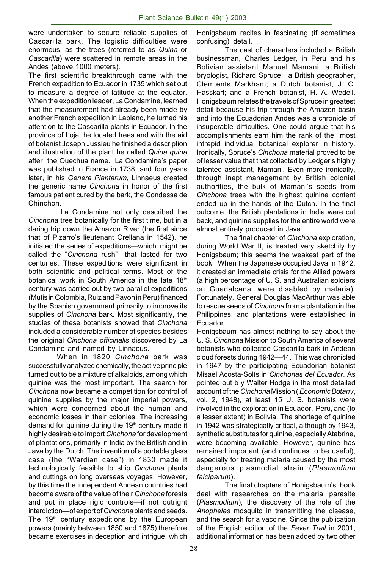were undertaken to secure reliable supplies of Cascarilla bark. The logistic difficulties were enormous, as the trees (referred to as *Quina* or *Cascarilla*) were scattered in remote areas in the Andes (above 1000 meters).

The first scientific breakthrough came with the French expedition to Ecuador in 1735 which set out to measure a degree of latitude at the equator. When the expedition leader, La Condamine, learned that the measurement had already been made by another French expedition in Lapland, he turned his attention to the Cascarilla plants in Ecuador. In the province of Loja, he located trees and with the aid of botanist Joseph Jussieu he finished a description and illustration of the plant he called *Quina quina* after the Quechua name. La Condamine's paper was published in France in 1738, and four years later, in his *Genera Plantarum*, Linnaeus created the generic name *Cinchona* in honor of the first famous patient cured by the bark, the Condessa de Chinchon.

 La Condamine not only described the *Cinchona* tree botanically for the first time, but in a daring trip down the Amazon River (the first since that of Pizarro's lieutenant Orellana in 1542), he initiated the series of expeditions—which might be called the "*Cinchona* rush"—that lasted for two centuries. These expeditions were significant in both scientific and political terms. Most of the botanical work in South America in the late 18th century was carried out by two parallel expeditions (Mutis in Colombia, Ruiz and Pavon in Peru) financed by the Spanish government primarily to improve its supplies of *Cinchona* bark. Most significantly, the studies of these botanists showed that *Cinchona* included a considerable number of species besides the original *Cinchona officinalis* discovered by La Condamine and named by Linnaeus.

When in 1820 *Cinchona* bark was successfully analyzed chemically, the active principle turned out to be a mixture of alkaloids, among which quinine was the most important. The search for *Cinchona* now became a competition for control of quinine supplies by the major imperial powers, which were concerned about the human and economic losses in their colonies. The increasing demand for quinine during the 19<sup>th</sup> century made it highly desirable to import *Cinchona* for development of plantations, primarily in India by the British and in Java by the Dutch. The invention of a portable glass case (the "Wardian case") in 1830 made it technologically feasible to ship *Cinchona* plants and cuttings on long overseas voyages. However, by this time the independent Andean countries had become aware of the value of their *Cinchona* forests and put in place rigid controls—if not outright interdiction—of export of *Cinchona* plants and seeds. The  $19<sup>th</sup>$  century expeditions by the European powers (mainly between 1850 and 1875) therefore became exercises in deception and intrigue, which

Honigsbaum recites in fascinating (if sometimes confusing) detail.

The cast of characters included a British businessman, Charles Ledger, in Peru and his Bolivian assistant Manuel Mamani; a British bryologist, Richard Spruce; a British geographer, Clemtents Markham; a Dutch botanist, J. C. Hasskarl; and a French botanist, H. A. Wedell. Honigsbaum relates the travels of Spruce in greatest detail because his trip through the Amazon basin and into the Ecuadorian Andes was a chronicle of insuperable difficulties. One could argue that his accomplishments earn him the rank of the most intrepid individual botanical explorer in history. Ironically, Spruce's *Cinchona* material proved to be of lesser value that that collected by Ledger's highly talented assistant, Mamani. Even more ironically, through inept management by British colonial authorities, the bulk of Mamani's seeds from *Cinchona* trees with the highest quinine content ended up in the hands of the Dutch. In the final outcome, the British plantations in India were cut back, and quinine supplies for the entire world were almost entirely produced in Java.

The final chapter of *Cinchona* exploration, during World War II, is treated very sketchily by Honigsbaum; this seems the weakest part of the book. When the Japanese occupied Java in 1942, it created an immediate crisis for the Allied powers (a high percentage of U. S. and Australian soldiers on Guadalcanal were disabled by malaria). Fortunately, General Douglas MacArthur was able to rescue seeds of *Cinchona* from a plantation in the Philippines, and plantations were established in Ecuador.

Honigsbaum has almost nothing to say about the U. S. *Cinchona* Mission to South America of several botanists who collected Cascarilla bark in Andean cloud forests during 1942—44. This was chronicled in 1947 by the participating Ecuadorian botanist Misael Acosta-Solís in *Cinchonas del Ecuador*. As pointed out b y Walter Hodge in the most detailed account of the *Cinchona* Mission ( *Economic Botany*, vol. 2, 1948), at least 15 U. S. botanists were involved in the exploration in Ecuador, Peru, and (to a lesser extent) in Bolivia. The shortage of quinine in 1942 was strategically critical, although by 1943, synthetic substitutes for quinine, especially Atabrine, were becoming available. However, quinine has remained important (and continues to be useful), especially for treating malaria caused by the most dangerous plasmodial strain (*Plasmodium falciparum*).

The final chapters of Honigsbaum's book deal with researches on the malarial parasite (*Plasmodium*), the discovery of the role of the *Anopheles* mosquito in transmitting the disease, and the search for a vaccine. Since the publication of the English edition of the *Fever Trail* in 2001, additional information has been added by two other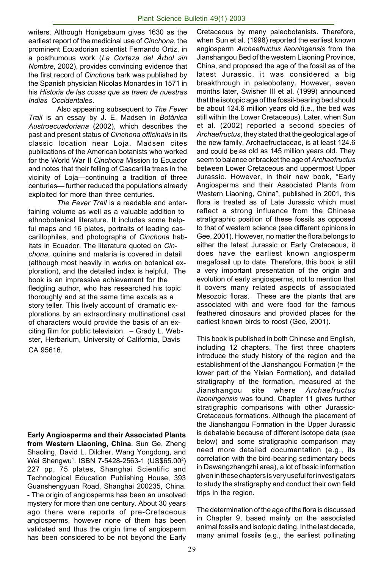writers. Although Honigsbaum gives 1630 as the earliest report of the medicinal use of *Cinchona*, the prominent Ecuadorian scientist Fernando Ortiz, in a posthumous work (*La Corteza del Árbol sin Nombre*, 2002), provides convincing evidence that the first record of *Cinchona* bark was published by the Spanish physician Nicolas Monardes in 1571 in his *Historia de las cosas que se traen de nuestras Indias Occidentales*.

Also appearing subsequent to *The Fever Trail* is an essay by J. E. Madsen in *Botánica Austroecuadoriana* (2002), which describes the past and present status of *Cinchona officinalis* in its classic location near Loja. Madsen cites publications of the American botanists who worked for the World War II *Cinchona* Mission to Ecuador and notes that their felling of Cascarilla trees in the vicinity of Loja—continuing a tradition of three centuries— further reduced the populations already exploited for more than three centuries.

*The Fever Trail* is a readable and entertaining volume as well as a valuable addition to ethnobotanical literature. It includes some helpful maps and 16 plates, portraits of leading cascarillophiles, and photographs of *Cinchona* habitats in Ecuador. The literature quoted on *Cinchona*, quinine and malaria is covered in detail (although most heavily in works on botanical exploration), and the detailed index is helpful. The book is an impressive achievement for the fledgling author, who has researched his topic thoroughly and at the same time excels as a story teller. This lively account of dramatic explorations by an extraordinary multinational cast of characters would provide the basis of an exciting film for public television. – Grady L. Webster, Herbarium, University of California, Davis CA 95616.

**Early Angiosperms and their Associated Plants from Western Liaoning, China**. Sun Ge, Zheng Shaoling, David L. Dilcher, Wang Yongdong, and Wei Shengwu<sup>1</sup>. ISBN 7-5428-2563-1 (US\$65.00<sup>2</sup>) 227 pp, 75 plates, Shanghai Scientific and Technological Education Publishing House, 393 Guanshengyuan Road, Shanghai 200235, China. - The origin of angiosperms has been an unsolved mystery for more than one century. About 30 years ago there were reports of pre-Cretaceous angiosperms, however none of them has been validated and thus the origin time of angiosperm has been considered to be not beyond the Early

Cretaceous by many paleobotanists. Therefore, when Sun et al. (1998) reported the earliest known angiosperm *Archaefructus liaoningensis* from the Jianshangou Bed of the western Liaoning Province, China, and proposed the age of the fossil as of the latest Jurassic, it was considered a big breakthrough in paleobotany. However, seven months later, Swisher III et al. (1999) announced that the isotopic age of the fossil-bearing bed should be about 124.6 million years old (i.e., the bed was still within the Lower Cretaceous). Later, when Sun et al. (2002) reported a second species of *Archaefructus*, they stated that the geological age of the new family, Archaefructaceae, is at least 124.6 and could be as old as 145 million years old. They seem to balance or bracket the age of *Archaefructus* between Lower Cretaceous and uppermost Upper Jurassic. However, in their new book, "Early Angiosperms and their Associated Plants from Western Liaoning, China", published in 2001, this flora is treated as of Late Jurassic which must reflect a strong influence from the Chinese stratigraphic position of these fossils as opposed to that of western science (see different opinions in Gee, 2001). However, no matter the flora belongs to either the latest Jurassic or Early Cretaceous, it does have the earliest known angiosperm megafossil up to date. Therefore, this book is still a very important presentation of the origin and evolution of early angiosperms, not to mention that it covers many related aspects of associated Mesozoic floras. These are the plants that are associated with and were food for the famous feathered dinosaurs and provided places for the earliest known birds to roost (Gee, 2001).

This book is published in both Chinese and English, including 12 chapters. The first three chapters introduce the study history of the region and the establishment of the Jianshangou Formation (= the lower part of the Yixian Formation), and detailed stratigraphy of the formation, measured at the Jianshangou site where *Archaefructus liaoningensis* was found. Chapter 11 gives further stratigraphic comparisons with other Jurassic-Cretaceous formations. Although the placement of the Jianshangou Formation in the Upper Jurassic is debatable because of different isotope data (see below) and some stratigraphic comparison may need more detailed documentation (e.g., its correlation with the bird-bearing sedimentary beds in Dawangzhangzhi area), a lot of basic information given in these chapters is very useful for investigators to study the stratigraphy and conduct their own field trips in the region.

The determination of the age of the flora is discussed in Chapter 9, based mainly on the associated animal fossils and isotopic dating. In the last decade, many animal fossils (e.g., the earliest pollinating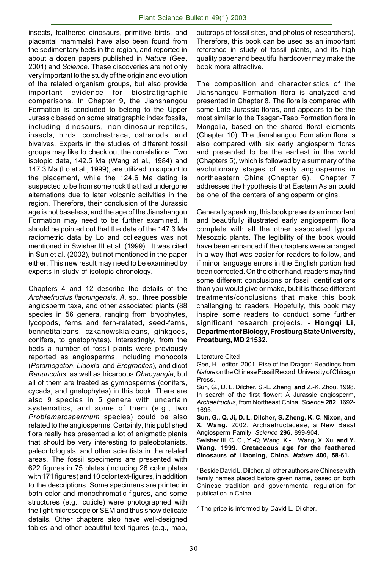insects, feathered dinosaurs, primitive birds, and placental mammals) have also been found from the sedimentary beds in the region, and reported in about a dozen papers published in *Nature* (Gee, 2001) and *Science*. These discoveries are not only very important to the study of the origin and evolution of the related organism groups, but also provide important evidence for biostratigraphic comparisons. In Chapter 9, the Jianshangou Formation is concluded to belong to the Upper Jurassic based on some stratigraphic index fossils, including dinosaurs, non-dinosaur-reptiles, insects, birds, conchastraca, ostracods, and bivalves. Experts in the studies of different fossil groups may like to check out the correlations. Two isotopic data, 142.5 Ma (Wang et al., 1984) and 147.3 Ma (Lo et al., 1999), are utilized to support to the placement, while the 124.6 Ma dating is suspected to be from some rock that had undergone alternations due to later volcanic activities in the region. Therefore, their conclusion of the Jurassic age is not baseless, and the age of the Jianshangou Formation may need to be further examined. It should be pointed out that the data of the 147.3 Ma radiometric data by Lo and colleagues was not mentioned in Swisher III et al. (1999). It was cited in Sun et al. (2002), but not mentioned in the paper either. This new result may need to be examined by experts in study of isotopic chronology.

Chapters 4 and 12 describe the details of the *Archaefructus liaoningensis, A.* sp., three possible angiosperm taxa, and other associated plants (88 species in 56 genera, ranging from bryophytes, lycopods, ferns and fern-related, seed-ferns, bennetitaleans, czkanowskialeans, ginkgoes, conifers, to gnetophytes). Interestingly, from the beds a number of fossil plants were previously reported as angiosperms, including monocots (*Potamogeton*, *Liaoxia*, and *Erogracites*), and dicot *Ranunculus*, as well as tricarpous *Chaoyangia*, but all of them are treated as gymnosperms (conifers, cycads, and gnetophytes) in this book. There are also 9 species in 5 genera with uncertain systematics, and some of them (e.g., two *Problematospermum* species) could be also related to the angiosperms. Certainly, this published flora really has presented a lot of enigmatic plants that should be very interesting to paleobotanists, paleontologists, and other scientists in the related areas. The fossil specimens are presented with 622 figures in 75 plates (including 26 color plates with 171 figures) and 10 color text-figures, in addition to the descriptions. Some specimens are printed in both color and monochromatic figures, and some structures (e.g., cuticle) were photographed with the light microscope or SEM and thus show delicate details. Other chapters also have well-designed tables and other beautiful text-figures (e.g., map, outcrops of fossil sites, and photos of researchers). Therefore, this book can be used as an important reference in study of fossil plants, and its high quality paper and beautiful hardcover may make the book more attractive.

The composition and characteristics of the Jianshangou Formation flora is analyzed and presented in Chapter 8. The flora is compared with some Late Jurassic floras, and appears to be the most similar to the Tsagan-Tsab Formation flora in Mongolia, based on the shared floral elements (Chapter 10). The Jianshangou Formation flora is also compared with six early angiosperm floras and presented to be the earliest in the world (Chapters 5), which is followed by a summary of the evolutionary stages of early angiosperms in northeastern China (Chapter 6). Chapter 7 addresses the hypothesis that Eastern Asian could be one of the centers of angiosperm origins.

Generally speaking, this book presents an important and beautifully illustrated early angiosperm flora complete with all the other associated typical Mesozoic plants. The legibility of the book would have been enhanced if the chapters were arranged in a way that was easier for readers to follow, and if minor language errors in the English portion had been corrected. On the other hand, readers may find some different conclusions or fossil identifications than you would give or make, but it is those different treatments/conclusions that make this book challenging to readers. Hopefully, this book may inspire some readers to conduct some further significant research projects. - **Hongqi Li, Department of Biology, Frostburg State University, Frostburg, MD 21532.**

Literature Cited

Gee, H., editor. 2001. Rise of the Dragon: Readings from *Nature* on the Chinese Fossil Record. University of Chicago Press.

Sun, G., D. L. Dilcher, S.-L. Zheng, **and** Z.-K. Zhou. 1998. In search of the first flower: A Jurassic angiosperm, *Archaefructus*, from Northeast China. *Science* **282**, 1692- 1695.

**Sun, G., Q. Ji, D. L. Dilcher, S. Zheng, K. C. Nixon, and X. Wang.** 2002. Archaefructaceae, a New Basal Angiosperm Family. *Science* **296**, 899-904.

Swisher III, C. C., Y.-Q. Wang, X.-L. Wang, X. Xu, **and Y. Wang. 1999. Cretaceous age for the feathered dinosaurs of Liaoning, China.** *Nature* **400, 58-61.**

<sup>1</sup> Beside David L. Dilcher, all other authors are Chinese with family names placed before given name, based on both Chinese tradition and governmental regulation for publication in China.

2 The price is informed by David L. Dilcher.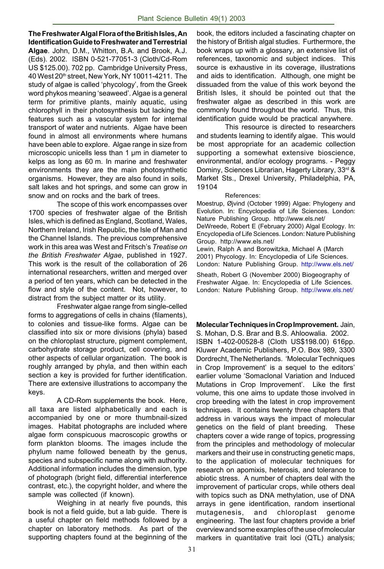**The Freshwater Algal Flora of the British Isles, An Identification Guide to Freshwater and Terrestrial Algae**. John, D.M., Whitton, B.A. and Brook, A.J. (Eds). 2002. ISBN 0-521-77051-3 (Cloth/Cd-Rom US \$125.00). 702 pp. Cambridge University Press, 40 West 20th street, New York, NY 10011-4211. The study of algae is called 'phycology', from the Greek word phykos meaning 'seaweed'. Algae is a general term for primitive plants, mainly aquatic, using chlorophyll in their photosynthesis but lacking the features such as a vascular system for internal transport of water and nutrients. Algae have been found in almost all environments where humans have been able to explore. Algae range in size from microscopic unicells less than 1 µm in diameter to kelps as long as 60 m. In marine and freshwater environments they are the main photosynthetic organisms. However, they are also found in soils, salt lakes and hot springs, and some can grow in snow and on rocks and the bark of trees.

The scope of this work encompasses over 1700 species of freshwater algae of the British Isles, which is defined as England, Scotland, Wales, Northern Ireland, Irish Republic, the Isle of Man and the Channel Islands. The previous comprehensive work in this area was West and Fritsch's *Treatise on the British Freshwater Algae*, published in 1927. This work is the result of the collaboration of 26 international researchers, written and merged over a period of ten years, which can be detected in the flow and style of the content. Not, however, to distract from the subject matter or its utility.

Freshwater algae range from single-celled forms to aggregations of cells in chains (filaments), to colonies and tissue-like forms. Algae can be classified into six or more divisions (phyla) based on the chloroplast structure, pigment complement, carbohydrate storage product, cell covering, and other aspects of cellular organization. The book is roughly arranged by phyla, and then within each section a key is provided for further identification. There are extensive illustrations to accompany the keys.

A CD-Rom supplements the book. Here, all taxa are listed alphabetically and each is accompanied by one or more thumbnail-sized images. Habitat photographs are included where algae form conspicuous macroscopic growths or form plankton blooms. The images include the phylum name followed beneath by the genus, species and subspecific name along with authority. Additional information includes the dimension, type of photograph (bright field, differential interference contrast, etc.), the copyright holder, and where the sample was collected (if known).

Weighing in at nearly five pounds, this book is not a field guide, but a lab guide. There is a useful chapter on field methods followed by a chapter on laboratory methods. As part of the supporting chapters found at the beginning of the book, the editors included a fascinating chapter on the history of British algal studies. Furthermore, the book wraps up with a glossary, an extensive list of references, taxonomic and subject indices. This source is exhaustive in its coverage, illustrations and aids to identification. Although, one might be dissuaded from the value of this work beyond the British Isles, it should be pointed out that the freshwater algae as described in this work are commonly found throughout the world. Thus, this identification guide would be practical anywhere.

This resource is directed to researchers and students learning to identify algae. This would be most appropriate for an academic collection supporting a somewhat extensive bioscience, environmental, and/or ecology programs. - Peggy Dominy, Sciences Librarian, Hagerty Library, 33rd & Market Sts., Drexel University, Philadelphia, PA, 19104

#### References:

Moestrup, Øjvind (October 1999) Algae: Phylogeny and Evolution. In: Encyclopedia of Life Sciences. London: Nature Publishing Group. http://www.els.net/ DeWreede, Robert E (February 2000) Algal Ecology. In: Encyclopedia of Life Sciences. London: Nature Publishing Group. http://www.els.net/ Lewin, Ralph A and Borowitzka, Michael A (March 2001) Phycology. In: Encyclopedia of Life Sciences.

London: Nature Publishing Group. http://www.els.net/

Sheath, Robert G (November 2000) Biogeography of Freshwater Algae. In: Encyclopedia of Life Sciences. London: Nature Publishing Group. http://www.els.net/

#### **Molecular Techniques in Crop Improvement.** Jain, S. Mohan, D.S. Brar and B.S. Ahloowalia. 2002.

ISBN 1-402-00528-8 (Cloth US\$198.00) 616pp. Kluwer Academic Publishers, P.O. Box 989, 3300 Dordrecht, The Netherlands. 'Molecular Techniques in Crop Improvement' is a sequel to the editors' earlier volume 'Somaclonal Variation and Induced Mutations in Crop Improvement'. Like the first volume, this one aims to update those involved in crop breeding with the latest in crop improvement techniques. It contains twenty three chapters that address in various ways the impact of molecular genetics on the field of plant breeding. These chapters cover a wide range of topics, progressing from the principles and methodology of molecular markers and their use in constructing genetic maps, to the application of molecular techniques for research on apomixis, heterosis, and tolerance to abiotic stress. A number of chapters deal with the improvement of particular crops, while others deal with topics such as DNA methylation, use of DNA arrays in gene identification, random insertional mutagenesis, and chloroplast genome engineering. The last four chapters provide a brief overview and some examples of the use of molecular markers in quantitative trait loci (QTL) analysis;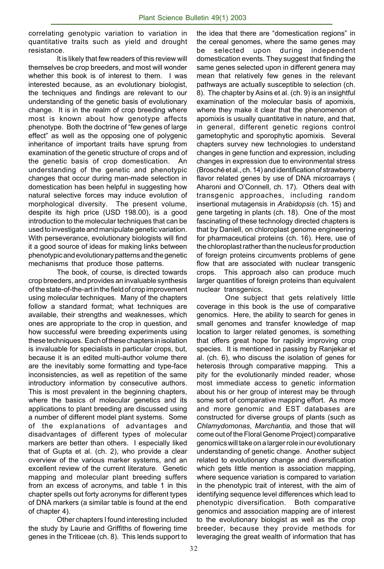correlating genotypic variation to variation in quantitative traits such as yield and drought resistance.

It is likely that few readers of this review will themselves be crop breeders, and most will wonder whether this book is of interest to them. I was interested because, as an evolutionary biologist, the techniques and findings are relevant to our understanding of the genetic basis of evolutionary change. It is in the realm of crop breeding where most is known about how genotype affects phenotype. Both the doctrine of "few genes of large effect" as well as the opposing one of polygenic inheritance of important traits have sprung from examination of the genetic structure of crops and of the genetic basis of crop domestication. An understanding of the genetic and phenotypic changes that occur during man-made selection in domestication has been helpful in suggesting how natural selective forces may induce evolution of morphological diversity. The present volume, despite its high price (USD 198.00), is a good introduction to the molecular techniques that can be used to investigate and manipulate genetic variation. With perseverance, evolutionary biologists will find it a good source of ideas for making links between phenotypic and evolutionary patterns and the genetic mechanisms that produce those patterns.

The book, of course, is directed towards crop breeders, and provides an invaluable synthesis of the state-of-the-art in the field of crop improvement using molecular techniques. Many of the chapters follow a standard format; what techniques are available, their strengths and weaknesses, which ones are appropriate to the crop in question, and how successful were breeding experiments using these techniques. Each of these chapters in isolation is invaluable for specialists in particular crops, but, because it is an edited multi-author volume there are the inevitably some formatting and type-face inconsistencies, as well as repetition of the same introductory information by consecutive authors. This is most prevalent in the beginning chapters, where the basics of molecular genetics and its applications to plant breeding are discussed using a number of different model plant systems. Some of the explanations of advantages and disadvantages of different types of molecular markers are better than others. I especially liked that of Gupta et al. (ch. 2), who provide a clear overview of the various marker systems, and an excellent review of the current literature. Genetic mapping and molecular plant breeding suffers from an excess of acronyms, and table 1 in this chapter spells out forty acronyms for different types of DNA markers (a similar table is found at the end of chapter 4).

Other chapters I found interesting included the study by Laurie and Griffiths of flowering time genes in the Triticeae (ch. 8). This lends support to the idea that there are "domestication regions" in the cereal genomes, where the same genes may be selected upon during independent domestication events. They suggest that finding the same genes selected upon in different genera may mean that relatively few genes in the relevant pathways are actually susceptible to selection (ch. 8). The chapter by Asins et al. (ch. 9) is an insightful examination of the molecular basis of apomixis, where they make it clear that the phenomenon of apomixis is usually quantitative in nature, and that, in general, different genetic regions control gametophytic and sporophytic apomixis. Several chapters survey new technologies to understand changes in gene function and expression, including changes in expression due to environmental stress (Brosché et al., ch. 14) and identification of strawberry flavor related genes by use of DNA microarrays ( Aharoni and O'Connell, ch. 17). Others deal with transgenic approaches, including random insertional mutagensis in *Arabidopsis* (ch. 15) and gene targeting in plants (ch. 18). One of the most fascinating of these technology directed chapters is that by Daniell, on chloroplast genome engineering for pharmaceutical proteins (ch. 16). Here, use of the chloroplast rather than the nucleus for production of foreign proteins circumvents problems of gene flow that are associated with nuclear transgenic crops. This approach also can produce much larger quantities of foreign proteins than equivalent nuclear transgenics.

One subject that gets relatively little coverage in this book is the use of comparative genomics. Here, the ability to search for genes in small genomes and transfer knowledge of map location to larger related genomes, is something that offers great hope for rapidly improving crop species. It is mentioned in passing by Ranjekar et al. (ch. 6), who discuss the isolation of genes for heterosis through comparative mapping. This a pity for the evolutionarily minded reader, whose most immediate access to genetic information about his or her group of interest may be through some sort of comparative mapping effort. As more and more genomic and EST databases are constructed for diverse groups of plants (such as *Chlamydomonas*, *Marchantia,* and those that will come out of the Floral Genome Project) comparative genomics will take on a larger role in our evolutionary understanding of genetic change. Another subject related to evolutionary change and diversification which gets little mention is association mapping, where sequence variation is compared to variation in the phenotypic trait of interest, with the aim of identifying sequence level differences which lead to phenotypic diversification. Both comparative genomics and association mapping are of interest to the evolutionary biologist as well as the crop breeder, because they provide methods for leveraging the great wealth of information that has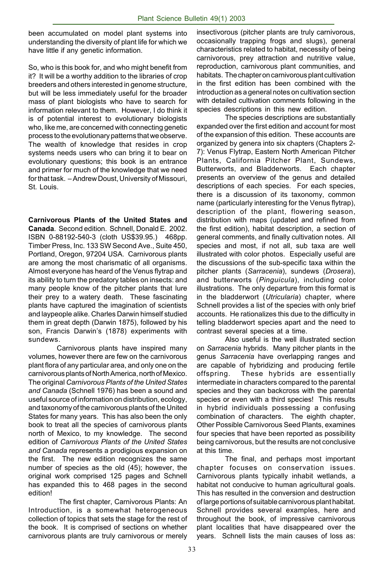been accumulated on model plant systems into understanding the diversity of plant life for which we have little if any genetic information.

So, who is this book for, and who might benefit from it? It will be a worthy addition to the libraries of crop breeders and others interested in genome structure, but will be less immediately useful for the broader mass of plant biologists who have to search for information relevant to them. However, I do think it is of potential interest to evolutionary biologists who, like me, are concerned with connecting genetic process to the evolutionary patterns that we observe. The wealth of knowledge that resides in crop systems needs users who can bring it to bear on evolutionary questions; this book is an entrance and primer for much of the knowledge that we need for that task. – Andrew Doust, University of Missouri, St. Louis.

**Carnivorous Plants of the United States and Canada**. Second edition. Schnell, Donald E. 2002. ISBN 0-88192-540-3 (cloth US\$39.95.) 468pp. Timber Press, Inc. 133 SW Second Ave., Suite 450, Portland, Oregon, 97204 USA. Carnivorous plants are among the most charismatic of all organisms. Almost everyone has heard of the Venus flytrap and its ability to turn the predatory tables on insects: and many people know of the pitcher plants that lure their prey to a watery death. These fascinating plants have captured the imagination of scientists and laypeople alike. Charles Darwin himself studied them in great depth (Darwin 1875), followed by his son, Francis Darwin's (1878) experiments with sundews.

Carnivorous plants have inspired many volumes, however there are few on the carnivorous plant flora of any particular area, and only one on the carnivorous plants of North America, north of Mexico. The original *Carnivorous Plants of the United States and Canada* (Schnell 1976) has been a sound and useful source of information on distribution, ecology, and taxonomy of the carnivorous plants of the United States for many years. This has also been the only book to treat all the species of carnivorous plants north of Mexico, to my knowledge. The second edition of *Carnivorous Plants of the United States and Canada* represents a prodigious expansion on the first. The new edition recognizes the same number of species as the old (45); however, the original work comprised 125 pages and Schnell has expanded this to 468 pages in the second edition!

 The first chapter, Carnivorous Plants: An Introduction, is a somewhat heterogeneous collection of topics that sets the stage for the rest of the book. It is comprised of sections on whether carnivorous plants are truly carnivorous or merely

insectivorous (pitcher plants are truly carnivorous, occasionally trapping frogs and slugs), general characteristics related to habitat, necessity of being carnivorous, prey attraction and nutritive value, reproduction, carnivorous plant communities, and habitats. The chapter on carnivorous plant cultivation in the first edition has been combined with the introduction as a general notes on cultivation section with detailed cultivation comments following in the species descriptions in this new edition.

The species descriptions are substantially expanded over the first edition and account for most of the expansion of this edition. These accounts are organized by genera into six chapters (Chapters 2- 7): Venus Flytrap, Eastern North American Pitcher Plants, California Pitcher Plant, Sundews, Butterworts, and Bladderworts. Each chapter presents an overview of the genus and detailed descriptions of each species. For each species, there is a discussion of its taxonomy, common name (particularly interesting for the Venus flytrap), description of the plant, flowering season, distribution with maps (updated and refined from the first edition), habitat description, a section of general comments, and finally cultivation notes. All species and most, if not all, sub taxa are well illustrated with color photos. Especially useful are the discussions of the sub-specific taxa within the pitcher plants (*Sarracenia*), sundews (*Drosera*), and butterworts (*Pinguicula*), including color illustrations. The only departure from this format is in the bladderwort (*Utricularia*) chapter, where Schnell provides a list of the species with only brief accounts. He rationalizes this due to the difficulty in telling bladderwort species apart and the need to contrast several species at a time.

Also useful is the well illustrated section on *Sarracenia* hybrids. Many pitcher plants in the genus *Sarracenia* have overlapping ranges and are capable of hybridizing and producing fertile offspring. These hybrids are essentially intermediate in characters compared to the parental species and they can backcross with the parental species or even with a third species! This results in hybrid individuals possessing a confusing combination of characters. The eighth chapter, Other Possible Carnivorous Seed Plants, examines four species that have been reported as possibility being carnivorous, but the results are not conclusive at this time.

The final, and perhaps most important chapter focuses on conservation issues. Carnivorous plants typically inhabit wetlands, a habitat not conducive to human agricultural goals. This has resulted in the conversion and destruction of large portions of suitable carnivorous plant habitat. Schnell provides several examples, here and throughout the book, of impressive carnivorous plant localities that have disappeared over the years. Schnell lists the main causes of loss as: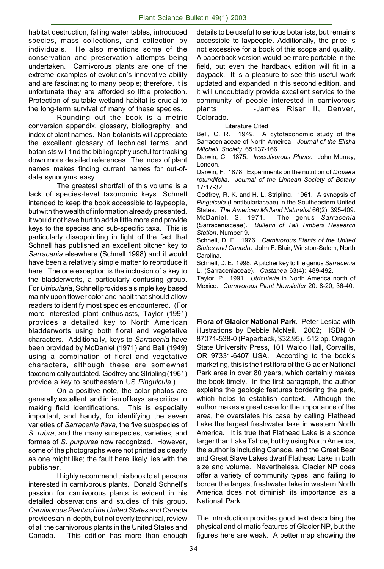habitat destruction, falling water tables, introduced species, mass collections, and collection by individuals. He also mentions some of the conservation and preservation attempts being undertaken. Carnivorous plants are one of the extreme examples of evolution's innovative ability and are fascinating to many people; therefore, it is unfortunate they are afforded so little protection. Protection of suitable wetland habitat is crucial to the long-term survival of many of these species.

Rounding out the book is a metric conversion appendix, glossary, bibliography, and index of plant names. Non-botanists will appreciate the excellent glossary of technical terms, and botanists will find the bibliography useful for tracking down more detailed references. The index of plant names makes finding current names for out-ofdate synonyms easy.

The greatest shortfall of this volume is a lack of species-level taxonomic keys. Schnell intended to keep the book accessible to laypeople, but with the wealth of information already presented, it would not have hurt to add a little more and provide keys to the species and sub-specific taxa. This is particularly disappointing in light of the fact that Schnell has published an excellent pitcher key to *Sarracenia* elsewhere (Schnell 1998) and it would have been a relatively simple matter to reproduce it here. The one exception is the inclusion of a key to the bladderworts, a particularly confusing group. For *Utricularia*, Schnell provides a simple key based mainly upon flower color and habit that should allow readers to identify most species encountered. (For more interested plant enthusiasts, Taylor (1991) provides a detailed key to North American bladderworts using both floral and vegetative characters. Additionally, keys to *Sarracenia* have been provided by McDaniel (1971) and Bell (1949) using a combination of floral and vegetative characters, although these are somewhat taxonomically outdated. Godfrey and Stripling (1961) provide a key to southeastern US *Pinguicula*.)

On a positive note, the color photos are generally excellent, and in lieu of keys, are critical to making field identifications. This is especially important, and handy, for identifying the seven varieties of *Sarracenia flava*, the five subspecies of *S*. *rubra*, and the many subspecies, varieties, and formas of *S*. *purpurea* now recognized. However, some of the photographs were not printed as clearly as one might like; the fault here likely lies with the publisher.

I highly recommend this book to all persons interested in carnivorous plants. Donald Schnell's passion for carnivorous plants is evident in his detailed observations and studies of this group. *CarnivorousPlants of the United States and Canada* provides an in-depth, but not overly technical, review of all the carnivorous plants in the United States and Canada. This edition has more than enough

details to be useful to serious botanists, but remains accessible to laypeople. Additionally, the price is not excessive for a book of this scope and quality. A paperback version would be more portable in the field, but even the hardback edition will fit in a daypack. It is a pleasure to see this useful work updated and expanded in this second edition, and it will undoubtedly provide excellent service to the community of people interested in carnivorous plants -James Riser II, Denver, Colorado.

#### Literature Cited

Bell, C. R. 1949. A cytotaxonomic study of the Sarraceniaceae of North Ameirca. *Journal of the Elisha Mitchell Society* 65:137-166.

Darwin, C. 1875. *Insectivorous Plants*. John Murray, London.

Darwin, F. 1878. Experiments on the nutrition of *Drosera rotundifolia*. *Journal of the Linnean Society of Botany* 17:17-32.

Godfrey, R. K. and H. L. Stripling. 1961. A synopsis of *Pinguicula* (Lentibulariaceae) in the Southeastern United States. *The American Midland Naturalist* 66(2): 395-409. McDaniel, S. 1971. The genus *Sarracenia* (Sarraceniaceae). *Bulletin of Tall Timbers Research Station*. Number 9.

Schnell, D. E. 1976. *Carnivorous Plants of the United States and Canada*. John F. Blair, Winston-Salem, North Carolina.

Schnell, D. E. 1998. A pitcher key to the genus *Sarracenia* L. (Sarraceniaceae). *Castanea* 63(4): 489-492.

Taylor, P. 1991. *Utricularia* in North America north of Mexico. *Carnivorous Plant Newsletter* 20: 8-20, 36-40.

**Flora of Glacier National Park**. Peter Lesica with illustrations by Debbie McNeil. 2002; ISBN 0- 87071-538-0 (Paperback, \$32.95). 512 pp. Oregon State University Press, 101 Waldo Hall, Corvallis, OR 97331-6407 USA. According to the book's marketing, this is the first flora of the Glacier National Park area in over 80 years, which certainly makes the book timely. In the first paragraph, the author explains the geologic features bordering the park, which helps to establish context. Although the author makes a great case for the importance of the area, he overstates his case by calling Flathead Lake the largest freshwater lake in western North America. It is true that Flathead Lake is a sconce larger than Lake Tahoe, but by using North America, the author is including Canada, and the Great Bear and Great Slave Lakes dwarf Flathead Lake in both size and volume. Nevertheless, Glacier NP does offer a variety of community types, and failing to border the largest freshwater lake in western North America does not diminish its importance as a National Park.

The introduction provides good text describing the physical and climatic features of Glacier NP, but the figures here are weak. A better map showing the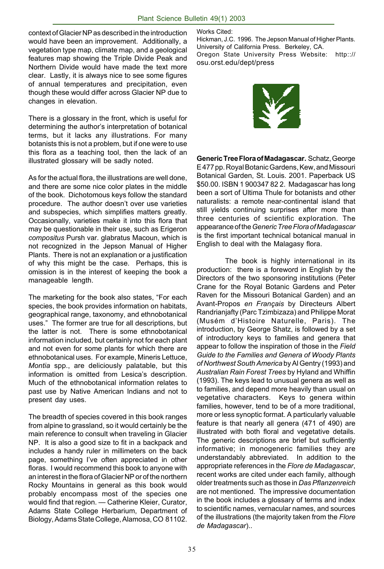context of Glacier NP as described in the introduction would have been an improvement. Additionally, a vegetation type map, climate map, and a geological features map showing the Triple Divide Peak and Northern Divide would have made the text more clear. Lastly, it is always nice to see some figures of annual temperatures and precipitation, even though these would differ across Glacier NP due to changes in elevation.

There is a glossary in the front, which is useful for determining the author's interpretation of botanical terms, but it lacks any illustrations. For many botanists this is not a problem, but if one were to use this flora as a teaching tool, then the lack of an illustrated glossary will be sadly noted.

As for the actual flora, the illustrations are well done, and there are some nice color plates in the middle of the book. Dichotomous keys follow the standard procedure. The author doesn't over use varieties and subspecies, which simplifies matters greatly. Occasionally, varieties make it into this flora that may be questionable in their use, such as Erigeron *compositus* Pursh var. glabratus Macoun, which is not recognized in the Jepson Manual of Higher Plants. There is not an explanation or a justification of why this might be the case. Perhaps, this is omission is in the interest of keeping the book a manageable length.

The marketing for the book also states, "For each species, the book provides information on habitats, geographical range, taxonomy, and ethnobotanical uses." The former are true for all descriptions, but the latter is not. There is some ethnobotanical information included, but certainly not for each plant and not even for some plants for which there are ethnobotanical uses. For example, Mineris Lettuce, *Montia* spp., are deliciously palatable, but this information is omitted from Lesica's description. Much of the ethnobotanical information relates to past use by Native American Indians and not to present day uses.

The breadth of species covered in this book ranges from alpine to grassland, so it would certainly be the main reference to consult when traveling in Glacier NP. It is also a good size to fit in a backpack and includes a handy ruler in millimeters on the back page, something I've often appreciated in other floras. I would recommend this book to anyone with an interest in the flora of Glacier NP or of the northern Rocky Mountains in general as this book would probably encompass most of the species one would find that region. — Catherine Kleier, Curator, Adams State College Herbarium, Department of Biology, Adams State College, Alamosa, CO 81102.

Works Cited:

Hickman, J.C. 1996. The Jepson Manual of Higher Plants. University of California Press. Berkeley, CA. Oregon State University Press Website: http::// osu.orst.edu/dept/press



**Generic Tree Flora of Madagascar.** Schatz, George E 477 pp. Royal Botanic Gardens, Kew, and Missouri Botanical Garden, St. Louis. 2001. Paperback US \$50.00. ISBN 1 900347 82 2. Madagascar has long been a sort of Ultima Thule for botanists and other naturalists: a remote near-continental island that still yields continuing surprises after more than three centuries of scientific exploration. The appearance of the *Generic Tree Flora of Madagascar* is the first important technical botanical manual in English to deal with the Malagasy flora.

The book is highly international in its production: there is a foreword in English by the Directors of the two sponsoring institutions (Peter Crane for the Royal Botanic Gardens and Peter Raven for the Missouri Botanical Garden) and an Avant-Propos *en Français* by Directeurs Albert Randrianjafty (Parc Tzimbizaza) and Philippe Morat (Musém d'Histoire Naturelle, Paris). The introduction, by George Shatz, is followed by a set of introductory keys to families and genera that appear to follow the inspiration of those in the *Field Guide to the Families and Genera of Woody Plants of Northwest South America* by Al Gentry (1993) and *Australian Rain Forest Trees* by Hyland and Whiffin (1993). The keys lead to unusual genera as well as to families, and depend more heavily than usual on vegetative characters. Keys to genera within families, however, tend to be of a more traditional, more or less synoptic format. A particularly valuable feature is that nearly all genera (471 of 490) are illustrated with both floral and vegetative details. The generic descriptions are brief but sufficiently informative; in monogeneric families they are understandably abbreviated. In addition to the appropriate references in the *Flore de Madagascar*, recent works are cited under each family, although older treatments such as those in *Das Pflanzenreich* are not mentioned. The impressive documentation in the book includes a glossary of terms and index to scientific names, vernacular names, and sources of the illustrations (the majority taken from the *Flore de Madagascar*)..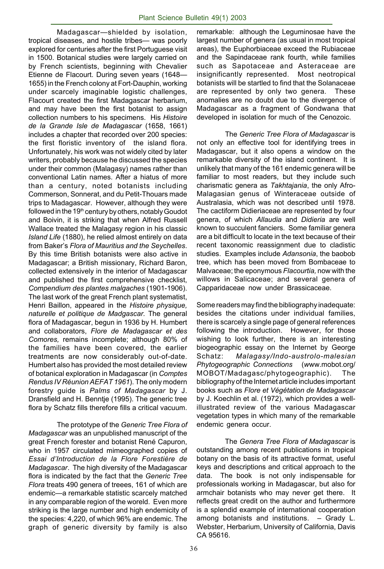Madagascar—shielded by isolation, tropical diseases, and hostile tribes— was poorly explored for centuries after the first Portuguese visit in 1500. Botanical studies were largely carried on by French scientists, beginning with Chevalier Etienne de Flacourt. During seven years (1648— 1655) in the French colony at Fort-Dauphin, working under scarcely imaginable logistic challenges, Flacourt created the first Madagascar herbarium, and may have been the first botanist to assign collection numbers to his specimens. His *Histoire de la Grande Isle de Madagascar* (1658, 1661) includes a chapter that recorded over 200 species: the first floristic inventory of the island flora. Unfortunately, his work was not widely cited by later writers, probably because he discussed the species under their common (Malagasy) names rather than conventional Latin names. After a hiatus of more than a century, noted botanists including Commerson, Sonnerat, and du Petit-Thouars made trips to Madagascar. However, although they were followed in the 19<sup>th</sup> century by others, notably Goudot and Boivin, it is striking that when Alfred Russell Wallace treated the Malagasy region in his classic *Island Life* (1880), he relied almost entirely on data from Baker's *Flora of Mauritius and the Seychelles*. By this time British botanists were also active in Madagascar; a British missionary, Richard Baron, collected extensively in the interior of Madagascar and published the first comprehensive checklist, *Compendium des plantes malgaches* (1901-1906). The last work of the great French plant systematist, Henri Baillon, appeared in the *Histoire physique, naturelle et politique de Madgascar.* The general flora of Madagascar, begun in 1936 by H. Humbert and collaborators, *Flore de Madagascar et des Comores,* remains incomplete; although 80% of the families have been covered, the earlier treatments are now considerably out-of-date. Humbert also has provided the most detailed review of botanical exploration in Madagascar (in *Comptes Rendus IV Réunion AEFAT 1961*). The only modern forestry guide is *Palms of Madagascar* by J. Dransfield and H. Benntje (1995). The generic tree flora by Schatz fills therefore fills a critical vacuum.

The prototype of the *Generic Tree Flora of Madagascar* was an unpublished manuscript of the great French forester and botanist René Capuron, who in 1957 circulated mimeographed copies of *Essai d'Introduction de la Flore Forestière de Madagascar*. The high diversity of the Madagascar flora is indicated by the fact that the *Generic Tree Flora* treats 490 genera of treees, 161 of which are endemic—a remarkable statistic scarcely matched in any comparable region of the woreld. Even more striking is the large number and high endemicity of the species: 4,220, of which 96% are endemic. The graph of generic diversity by family is also

remarkable: although the Leguminosae have the largest number of genera (as usual in most tropical areas), the Euphorbiaceae exceed the Rubiaceae and the Sapindaceae rank fourth, while families such as Sapotaceae and Asteraceae are insignificantly represented. Most neotropical botanists will be startled to find that the Solanaceae are represented by only two genera. These anomalies are no doubt due to the divergence of Madagascar as a fragment of Gondwana that developed in isolation for much of the Cenozoic.

The *Generic Tree Flora of Madagascar* is not only an effective tool for identifying trees in Madagascar, but it also opens a window on the remarkable diversity of the island continent. It is unlikely that many of the 161 endemic genera will be familiar to most readers, but they include such charismatic genera as *Takhtajania*, the only Afro-Malagasian genus of Winteraceae outside of Australasia, which was not described until 1978. The cactiform Didieriaceae are represented by four genera, of which *Allaudia* and *Didieria* are well known to succulent fanciers. Some familiar genera are a bit difficult to locate in the text because of their recent taxonomic reassignment due to cladistic studies. Examples include *Adansonia*, the baobob tree, which has been moved from Bombaceae to Malvaceae; the eponymous *Flacourtia,* now with the willows in Salicaceae; and several genera of Capparidaceae now under Brassicaceae.

Some readers may find the bibliography inadequate: besides the citations under individual families, there is scarcely a single page of general references following the introduction. However, for those wishing to look further, there is an interesting biogeographic essay on the Internet by George Schatz: *Malagasy/Indo-austrolo-malesian Phytogeographic Connections* (*w*ww.mobot.org/ MOBOT/Madagasc/phytogeographic). The bibliography of the Internet article includes important books such as *Flore et Végétation de Madagascar* by J. Koechlin et al. (1972), which provides a wellillustrated review of the various Madagascar vegetation types in which many of the remarkable endemic genera occur.

The *Genera Tree Flora of Madagascar* is outstanding among recent publications in tropical botany on the basis of its attractive format, useful keys and descriptions and critical approach to the data. The book is not only indispensable for professionals working in Madagascar, but also for armchair botanists who may never get there. It reflects great credit on the author and furthermore is a splendid example of international cooperation among botanists and institutions. – Grady L. Webster, Herbarium, University of California, Davis CA 95616.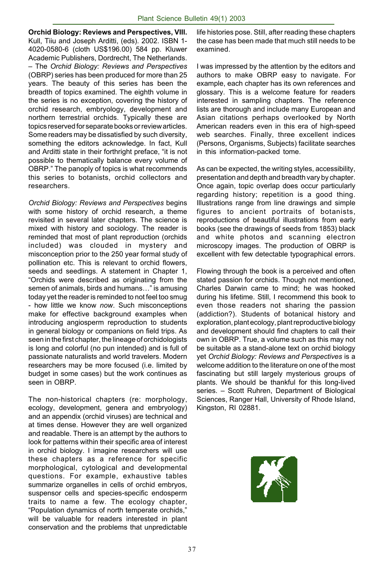**Orchid Biology: Reviews and Perspectives, VIII.** Kull, Tiiu and Joseph Arditti, (eds). 2002. ISBN 1- 4020-0580-6 (cloth US\$196.00) 584 pp. Kluwer Academic Publishers, Dordrecht, The Netherlands. – The *Orchid Biology: Reviews and Perspectives* (OBRP) series has been produced for more than 25 years. The beauty of this series has been the breadth of topics examined. The eighth volume in the series is no exception, covering the history of orchid research, embryology, development and northern terrestrial orchids. Typically these are topics reserved for separate books or review articles. Some readers may be dissatisfied by such diversity, something the editors acknowledge. In fact, Kull and Arditti state in their forthright preface, "it is not possible to thematically balance every volume of OBRP." The panoply of topics is what recommends this series to botanists, orchid collectors and researchers.

*Orchid Biology: Reviews and Perspectives* begins with some history of orchid research, a theme revisited in several later chapters. The science is mixed with history and sociology. The reader is reminded that most of plant reproduction (orchids included) was clouded in mystery and misconception prior to the 250 year formal study of pollination etc. This is relevant to orchid flowers, seeds and seedlings. A statement in Chapter 1, "Orchids were described as originating from the semen of animals, birds and humans…" is amusing today yet the reader is reminded to not feel too smug - how little we know *now*. Such misconceptions make for effective background examples when introducing angiosperm reproduction to students in general biology or companions on field trips. As seen in the first chapter, the lineage of orchidologists is long and colorful (no pun intended) and is full of passionate naturalists and world travelers. Modern researchers may be more focused (i.e. limited by budget in some cases) but the work continues as seen in OBRP.

The non-historical chapters (re: morphology, ecology, development, genera and embryology) and an appendix (orchid viruses) are technical and at times dense. However they are well organized and readable. There is an attempt by the authors to look for patterns within their specific area of interest in orchid biology. I imagine researchers will use these chapters as a reference for specific morphological, cytological and developmental questions. For example, exhaustive tables summarize organelles in cells of orchid embryos, suspensor cells and species-specific endosperm traits to name a few. The ecology chapter, "Population dynamics of north temperate orchids," will be valuable for readers interested in plant conservation and the problems that unpredictable

life histories pose. Still, after reading these chapters the case has been made that much still needs to be examined.

I was impressed by the attention by the editors and authors to make OBRP easy to navigate. For example, each chapter has its own references and glossary. This is a welcome feature for readers interested in sampling chapters. The reference lists are thorough and include many European and Asian citations perhaps overlooked by North American readers even in this era of high-speed web searches. Finally, three excellent indices (Persons, Organisms, Subjects) facilitate searches in this information-packed tome.

As can be expected, the writing styles, accessibility, presentation and depth and breadth vary by chapter. Once again, topic overlap does occur particularly regarding history; repetition is a good thing. Illustrations range from line drawings and simple figures to ancient portraits of botanists, reproductions of beautiful illustrations from early books (see the drawings of seeds from 1853) black and white photos and scanning electron microscopy images. The production of OBRP is excellent with few detectable typographical errors.

Flowing through the book is a perceived and often stated passion for orchids. Though not mentioned, Charles Darwin came to mind; he was hooked during his lifetime. Still, I recommend this book to even those readers not sharing the passion (addiction?). Students of botanical history and exploration, plant ecology, plant reproductive biology and development should find chapters to call their own in OBRP. True, a volume such as this may not be suitable as a stand-alone text on orchid biology yet *Orchid Biology: Reviews and Perspectives* is a welcome addition to the literature on one of the most fascinating but still largely mysterious groups of plants. We should be thankful for this long-lived series. – Scott Ruhren, Department of Biological Sciences, Ranger Hall, University of Rhode Island, Kingston, RI 02881.

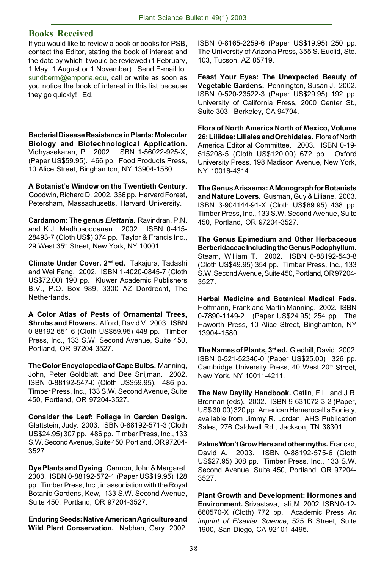#### **Books Received**

If you would like to review a book or books for PSB, contact the Editor, stating the book of interest and the date by which it would be reviewed (1 February, 1 May, 1 August or 1 November). Send E-mail to sundberm@emporia.edu, call or write as soon as you notice the book of interest in this list because they go quickly! Ed.

**Bacterial Disease Resistance in Plants: Molecular Biology and Biotechnological Application.** Vidhyasekaran, P. 2002. ISBN 1-56022-925-X, (Paper US\$59.95). 466 pp. Food Products Press, 10 Alice Street, Binghamton, NY 13904-1580.

**A Botanist's Window on the Twentieth Century**. Goodwin, Richard D. 2002. 336 pp. Harvard Forest, Petersham, Massachusetts, Harvard University.

**Cardamom: The genus** *Elettaria*. Ravindran, P.N. and K.J. Madhusoodanan. 2002. ISBN 0-415- 28493-7 (Cloth US\$) 374 pp. Taylor & Francis Inc., 29 West 35th Street, New York, NY 10001.

**Climate Under Cover, 2nd ed.** Takajura, Tadashi and Wei Fang. 2002. ISBN 1-4020-0845-7 (Cloth US\$72.00) 190 pp. Kluwer Academic Publishers B.V., P.O. Box 989, 3300 AZ Dordrecht, The Netherlands.

**A Color Atlas of Pests of Ornamental Trees, Shrubs and Flowers.** Alford, David V. 2003. ISBN 0-88192-651-6 (Cloth US\$59.95) 448 pp. Timber Press, Inc., 133 S.W. Second Avenue, Suite 450, Portland, OR 97204-3527.

**The Color Encyclopedia of Cape Bulbs.** Manning, John, Peter Goldblatt, and Dee Snijman. 2002. ISBN 0-88192-547-0 (Cloth US\$59.95). 486 pp. Timber Press, Inc., 133 S.W. Second Avenue, Suite 450, Portland, OR 97204-3527.

**Consider the Leaf: Foliage in Garden Design.** Glattstein, Judy. 2003. ISBN 0-88192-571-3 (Cloth US\$24.95) 307 pp. 486 pp. Timber Press, Inc., 133 S.W. Second Avenue, Suite 450, Portland, OR 97204- 3527.

**Dye Plants and Dyeing**. Cannon, John & Margaret. 2003. ISBN 0-88192-572-1 (Paper US\$19.95) 128 pp. Timber Press, Inc., in association with the Royal Botanic Gardens, Kew, 133 S.W. Second Avenue, Suite 450, Portland, OR 97204-3527.

**Enduring Seeds: Native American Agriculture and Wild Plant Conservation.** Nabhan, Gary. 2002.

ISBN 0-8165-2259-6 (Paper US\$19.95) 250 pp. The University of Arizona Press, 355 S. Euclid, Ste. 103, Tucson, AZ 85719.

**Feast Your Eyes: The Unexpected Beauty of Vegetable Gardens.** Pennington, Susan J. 2002. ISBN 0-520-23522-3 (Paper US\$29.95) 192 pp. University of California Press, 2000 Center St., Suite 303. Berkeley, CA 94704.

**Flora of North America North of Mexico, Volume 26: Liliidae: Liliales and Orchidales.** Flora of North America Editorial Committee. 2003. ISBN 0-19- 515208-5 (Cloth US\$120.00) 672 pp. Oxford University Press, 198 Madison Avenue, New York, NY 10016-4314.

**The Genus Arisaema: A Monograph for Botanists and Nature Lovers.** Gusman, Guy & Liliane. 2003. ISBN 3-904144-91-X (Cloth US\$69.95) 438 pp. Timber Press, Inc., 133 S.W. Second Avenue, Suite 450, Portland, OR 97204-3527.

**The Genus Epimedium and Other Herbaceous Berberidaceae Including the Genus Podophyllum.** Stearn, William T. 2002. ISBN 0-88192-543-8 (Cloth US\$49.95) 354 pp. Timber Press, Inc., 133 S.W. Second Avenue, Suite 450, Portland, OR 97204- 3527.

**Herbal Medicine and Botanical Medical Fads.** Hoffmann, Frank and Martin Manning. 2002. ISBN 0-7890-1149-2. (Paper US\$24.95) 254 pp. The Haworth Press, 10 Alice Street, Binghamton, NY 13904-1580.

**The Names of Plants, 3rd ed.** Gledhill, David. 2002. ISBN 0-521-52340-0 (Paper US\$25.00) 326 pp. Cambridge University Press, 40 West 20th Street, New York, NY 10011-4211.

**The New Daylily Handbook.** Gatlin, F.L. and J.R. Brennan (eds). 2002. ISBN 9-631072-3-2 (Paper, US\$ 30.00) 320 pp. American Hemerocallis Society, available from Jimmy R. Jordan, AHS Publication Sales, 276 Caldwell Rd., Jackson, TN 38301.

**Palms Won't Grow Here and other myths.** Francko, David A. 2003. ISBN 0-88192-575-6 (Cloth US\$27.95) 308 pp. Timber Press, Inc., 133 S.W. Second Avenue, Suite 450, Portland, OR 97204- 3527.

**Plant Growth and Development: Hormones and Environment.** Srivastava, Lalit M. 2002. ISBN 0-12- 660570-X (Cloth) 772 pp. Academic Press *An imprint of Elsevier Science*, 525 B Street, Suite 1900, San Diego, CA 92101-4495.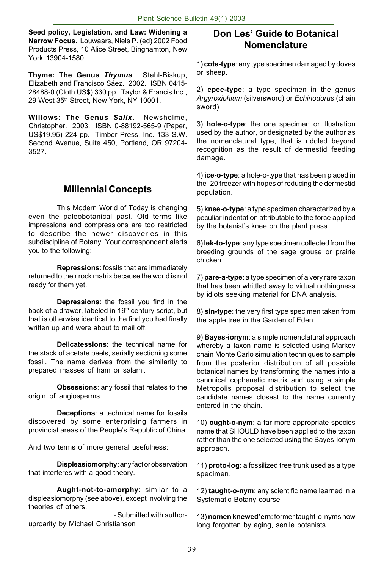**Seed policy, Legislation, and Law: Widening a Narrow Focus.** Louwaars, Niels P. (ed) 2002 Food Products Press, 10 Alice Street, Binghamton, New York 13904-1580.

**Thyme: The Genus** *Thymus*. Stahl-Biskup, Elizabeth and Francisco Sáez. 2002. ISBN 0415- 28488-0 (Cloth US\$) 330 pp. Taylor & Francis Inc., 29 West 35th Street, New York, NY 10001.

**Willows: The Genus** *Salix***.** Newsholme, Christopher. 2003. ISBN 0-88192-565-9 (Paper, US\$19.95) 224 pp. Timber Press, Inc. 133 S.W. Second Avenue, Suite 450, Portland, OR 97204- 3527.

# **Millennial Concepts**

This Modern World of Today is changing even the paleobotanical past. Old terms like impressions and compressions are too restricted to describe the newer discoveries in this subdiscipline of Botany. Your correspondent alerts you to the following:

**Repressions**: fossils that are immediately returned to their rock matrix because the world is not ready for them yet.

**Depressions**: the fossil you find in the back of a drawer, labeled in 19<sup>th</sup> century script, but that is otherwise identical to the find you had finally written up and were about to mail off.

**Delicatessions**: the technical name for the stack of acetate peels, serially sectioning some fossil. The name derives from the similarity to prepared masses of ham or salami.

**Obsessions**: any fossil that relates to the origin of angiosperms.

**Deceptions**: a technical name for fossils discovered by some enterprising farmers in provincial areas of the People's Republic of China.

And two terms of more general usefulness:

**Displeasiomorphy**: any fact or observation that interferes with a good theory.

**Aught-not-to-amorphy**: similar to a displeasiomorphy (see above), except involving the theories of others.

- Submitted with authoruproarity by Michael Christianson

#### **Don Les' Guide to Botanical Nomenclature**

1) **cote-type**: any type specimen damaged by doves or sheep.

2) **epee-type**: a type specimen in the genus *Argyroxiphium* (silversword) or *Echinodorus* (chain sword)

3) **hole-o-type**: the one specimen or illustration used by the author, or designated by the author as the nomenclatural type, that is riddled beyond recognition as the result of dermestid feeding damage.

4) **ice-o-type**: a hole-o-type that has been placed in the -20 freezer with hopes of reducing the dermestid population.

5) **knee-o-type**: a type specimen characterized by a peculiar indentation attributable to the force applied by the botanist's knee on the plant press.

6) **lek-to-type**: any type specimen collected from the breeding grounds of the sage grouse or prairie chicken.

7) **pare-a-type**: a type specimen of a very rare taxon that has been whittled away to virtual nothingness by idiots seeking material for DNA analysis.

8) **sin-type**: the very first type specimen taken from the apple tree in the Garden of Eden.

9) **Bayes-ionym**: a simple nomenclatural approach whereby a taxon name is selected using Markov chain Monte Carlo simulation techniques to sample from the posterior distribution of all possible botanical names by transforming the names into a canonical cophenetic matrix and using a simple Metropolis proposal distribution to select the candidate names closest to the name currently entered in the chain.

10) **ought-o-nym**: a far more appropriate species name that SHOULD have been applied to the taxon rather than the one selected using the Bayes-ionym approach.

11) **proto-log**: a fossilized tree trunk used as a type specimen.

12) **taught-o-nym**: any scientific name learned in a Systematic Botany course

13) **nomen knewed'em**: former taught-o-nyms now long forgotten by aging, senile botanists